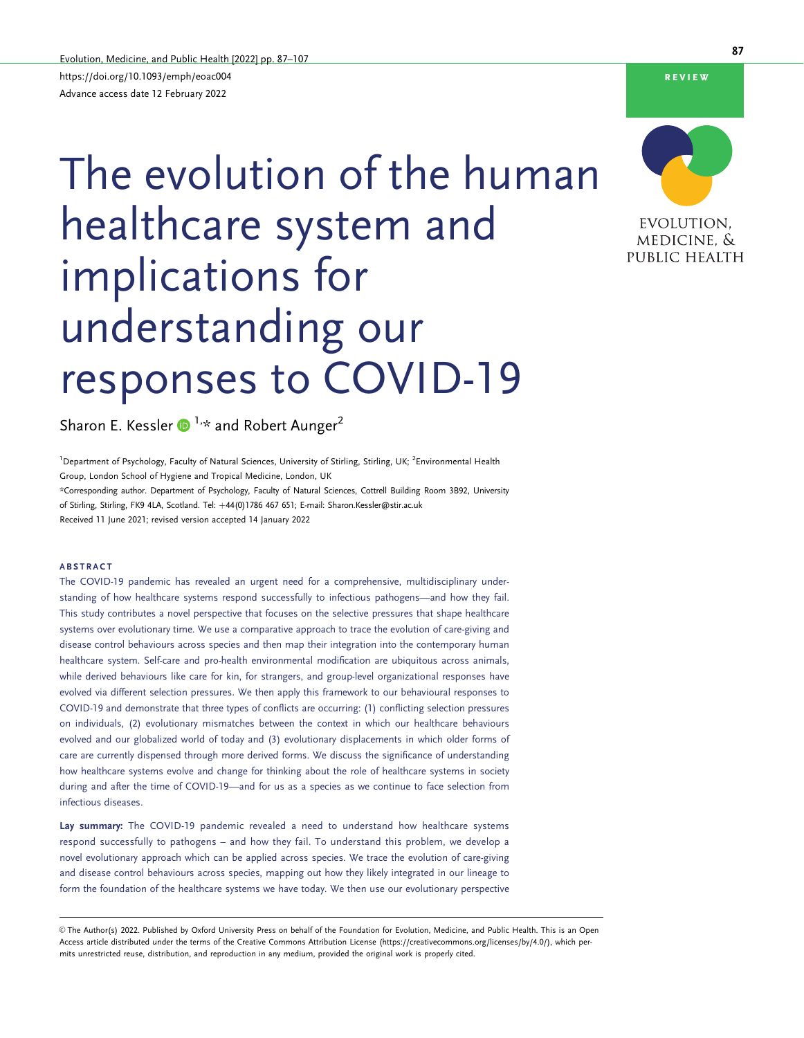# The evolution of the human healthcare system and implications for understanding our responses to COVID-19

Sharon E. Kessler  $\bigcirc$ <sup>1,\*</sup> and Robert Aunger<sup>2</sup>

<sup>1</sup> Department of Psychology, Faculty of Natural Sciences, University of Stirling, Stirling, UK; <sup>2</sup>Environmental Health Group, London School of Hygiene and Tropical Medicine, London, UK \*Corresponding author. Department of Psychology, Faculty of Natural Sciences, Cottrell Building Room 3B92, University of Stirling, Stirling, FK9 4LA, Scotland. Tel: +44(0)1786 467 651; E-mail: Sharon.Kessler@stir.ac.uk Received 11 June 2021; revised version accepted 14 January 2022

#### ABSTRACT

The COVID-19 pandemic has revealed an urgent need for a comprehensive, multidisciplinary understanding of how healthcare systems respond successfully to infectious pathogens—and how they fail. This study contributes a novel perspective that focuses on the selective pressures that shape healthcare systems over evolutionary time. We use a comparative approach to trace the evolution of care-giving and disease control behaviours across species and then map their integration into the contemporary human healthcare system. Self-care and pro-health environmental modification are ubiquitous across animals, while derived behaviours like care for kin, for strangers, and group-level organizational responses have evolved via different selection pressures. We then apply this framework to our behavioural responses to COVID-19 and demonstrate that three types of conflicts are occurring: (1) conflicting selection pressures on individuals, (2) evolutionary mismatches between the context in which our healthcare behaviours evolved and our globalized world of today and (3) evolutionary displacements in which older forms of care are currently dispensed through more derived forms. We discuss the significance of understanding how healthcare systems evolve and change for thinking about the role of healthcare systems in society during and after the time of COVID-19—and for us as a species as we continue to face selection from infectious diseases.

Lay summary: The COVID-19 pandemic revealed a need to understand how healthcare systems respond successfully to pathogens – and how they fail. To understand this problem, we develop a novel evolutionary approach which can be applied across species. We trace the evolution of care-giving and disease control behaviours across species, mapping out how they likely integrated in our lineage to form the foundation of the healthcare systems we have today. We then use our evolutionary perspective

 $\circ$  The Author(s) 2022. Published by Oxford University Press on behalf of the Foundation for Evolution, Medicine, and Public Health. This is an Open Access article distributed under the terms of the Creative Commons Attribution License (https://creativecommons.org/licenses/by/4.0/), which permits unrestricted reuse, distribution, and reproduction in any medium, provided the original work is properly cited.

87



review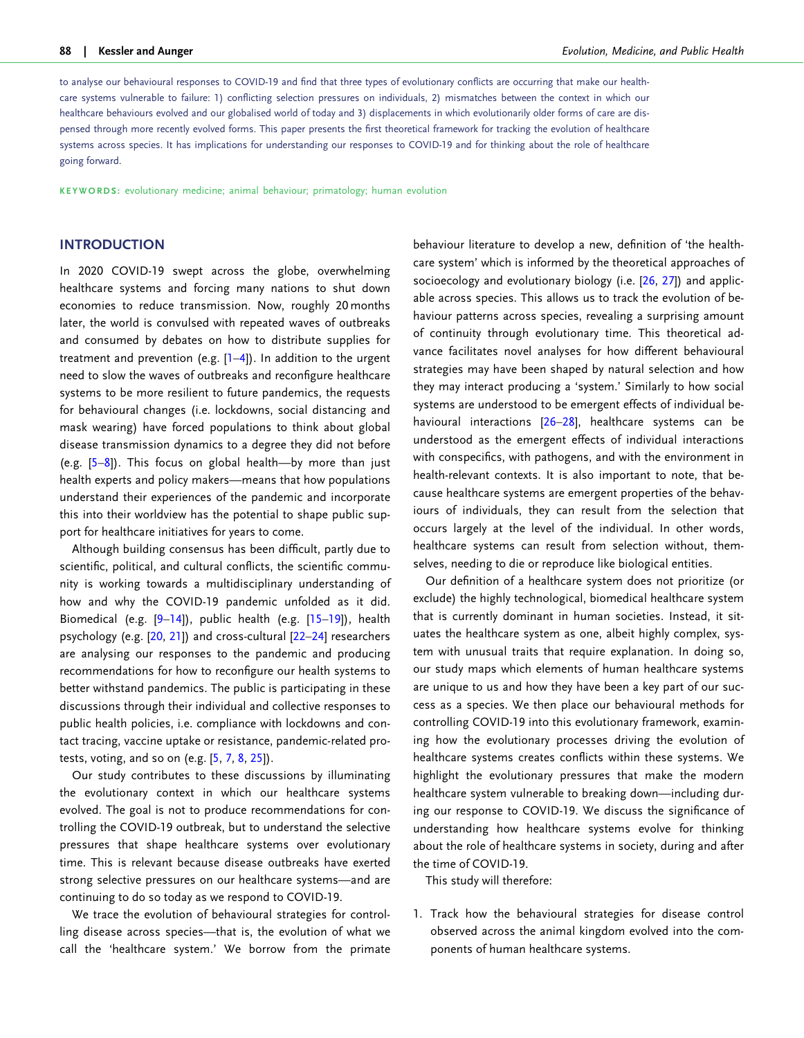<span id="page-1-0"></span>to analyse our behavioural responses to COVID-19 and find that three types of evolutionary conflicts are occurring that make our healthcare systems vulnerable to failure: 1) conflicting selection pressures on individuals, 2) mismatches between the context in which our healthcare behaviours evolved and our globalised world of today and 3) displacements in which evolutionarily older forms of care are dispensed through more recently evolved forms. This paper presents the first theoretical framework for tracking the evolution of healthcare systems across species. It has implications for understanding our responses to COVID-19 and for thinking about the role of healthcare going forward.

KEYWORDS: evolutionary medicine; animal behaviour; primatology; human evolution

# **INTRODUCTION**

In 2020 COVID-19 swept across the globe, overwhelming healthcare systems and forcing many nations to shut down economies to reduce transmission. Now, roughly 20 months later, the world is convulsed with repeated waves of outbreaks and consumed by debates on how to distribute supplies for treatment and prevention (e.g. [\[1–4](#page-14-0)]). In addition to the urgent need to slow the waves of outbreaks and reconfigure healthcare systems to be more resilient to future pandemics, the requests for behavioural changes (i.e. lockdowns, social distancing and mask wearing) have forced populations to think about global disease transmission dynamics to a degree they did not before (e.g.  $[5-8]$ ). This focus on global health—by more than just health experts and policy makers—means that how populations understand their experiences of the pandemic and incorporate this into their worldview has the potential to shape public support for healthcare initiatives for years to come.

Although building consensus has been difficult, partly due to scientific, political, and cultural conflicts, the scientific community is working towards a multidisciplinary understanding of how and why the COVID-19 pandemic unfolded as it did. Biomedical (e.g. [[9–14\]](#page-14-0)), public health (e.g. [\[15–19\]](#page-14-0)), health psychology (e.g. [\[20,](#page-14-0) [21\]](#page-14-0)) and cross-cultural [\[22–24](#page-14-0)] researchers are analysing our responses to the pandemic and producing recommendations for how to reconfigure our health systems to better withstand pandemics. The public is participating in these discussions through their individual and collective responses to public health policies, i.e. compliance with lockdowns and contact tracing, vaccine uptake or resistance, pandemic-related protests, voting, and so on (e.g. [\[5](#page-14-0), [7,](#page-14-0) [8](#page-14-0), [25](#page-14-0)]).

Our study contributes to these discussions by illuminating the evolutionary context in which our healthcare systems evolved. The goal is not to produce recommendations for controlling the COVID-19 outbreak, but to understand the selective pressures that shape healthcare systems over evolutionary time. This is relevant because disease outbreaks have exerted strong selective pressures on our healthcare systems—and are continuing to do so today as we respond to COVID-19.

We trace the evolution of behavioural strategies for controlling disease across species—that is, the evolution of what we call the 'healthcare system.' We borrow from the primate behaviour literature to develop a new, definition of 'the healthcare system' which is informed by the theoretical approaches of socioecology and evolutionary biology (i.e. [[26](#page-15-0), [27\]](#page-15-0)) and applicable across species. This allows us to track the evolution of behaviour patterns across species, revealing a surprising amount of continuity through evolutionary time. This theoretical advance facilitates novel analyses for how different behavioural strategies may have been shaped by natural selection and how they may interact producing a 'system.' Similarly to how social systems are understood to be emergent effects of individual behavioural interactions [\[26–28](#page-15-0)], healthcare systems can be understood as the emergent effects of individual interactions with conspecifics, with pathogens, and with the environment in health-relevant contexts. It is also important to note, that because healthcare systems are emergent properties of the behaviours of individuals, they can result from the selection that occurs largely at the level of the individual. In other words, healthcare systems can result from selection without, themselves, needing to die or reproduce like biological entities.

Our definition of a healthcare system does not prioritize (or exclude) the highly technological, biomedical healthcare system that is currently dominant in human societies. Instead, it situates the healthcare system as one, albeit highly complex, system with unusual traits that require explanation. In doing so, our study maps which elements of human healthcare systems are unique to us and how they have been a key part of our success as a species. We then place our behavioural methods for controlling COVID-19 into this evolutionary framework, examining how the evolutionary processes driving the evolution of healthcare systems creates conflicts within these systems. We highlight the evolutionary pressures that make the modern healthcare system vulnerable to breaking down—including during our response to COVID-19. We discuss the significance of understanding how healthcare systems evolve for thinking about the role of healthcare systems in society, during and after the time of COVID-19.

This study will therefore:

1. Track how the behavioural strategies for disease control observed across the animal kingdom evolved into the components of human healthcare systems.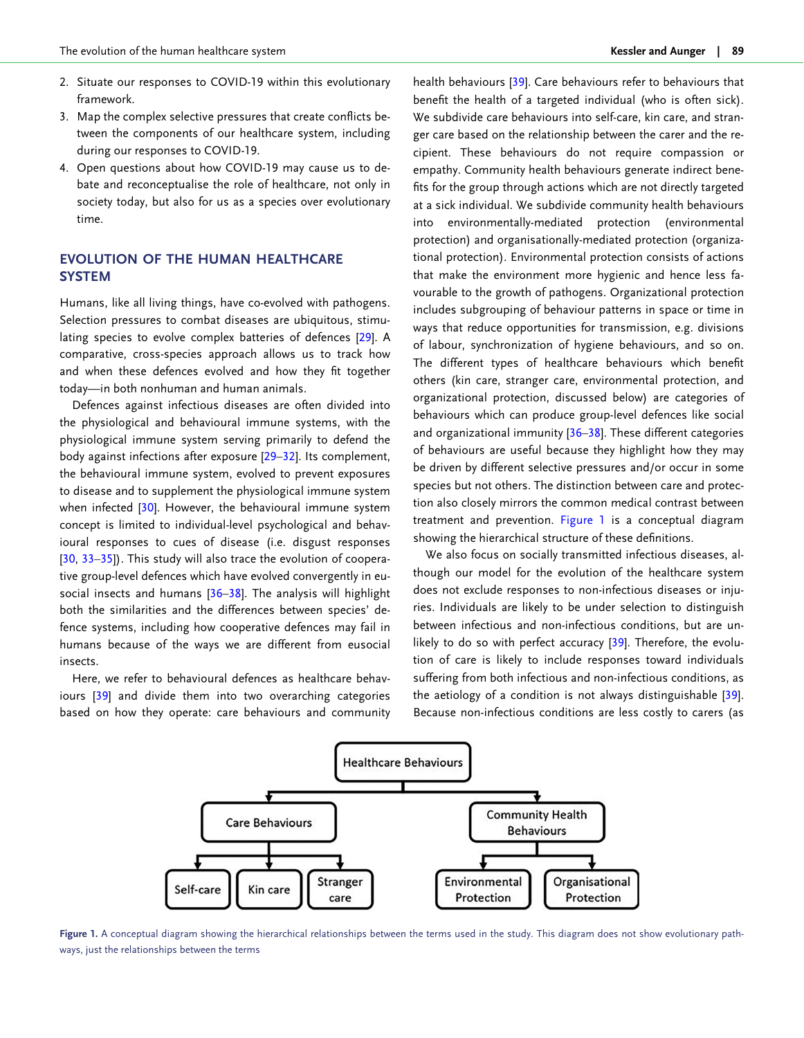- <span id="page-2-0"></span>2. Situate our responses to COVID-19 within this evolutionary framework.
- 3. Map the complex selective pressures that create conflicts between the components of our healthcare system, including during our responses to COVID-19.
- 4. Open questions about how COVID-19 may cause us to debate and reconceptualise the role of healthcare, not only in society today, but also for us as a species over evolutionary time.

# EVOLUTION OF THE HUMAN HEALTHCARE **SYSTEM**

Humans, like all living things, have co-evolved with pathogens. Selection pressures to combat diseases are ubiquitous, stimu-lating species to evolve complex batteries of defences [[29](#page-15-0)]. A comparative, cross-species approach allows us to track how and when these defences evolved and how they fit together today—in both nonhuman and human animals.

Defences against infectious diseases are often divided into the physiological and behavioural immune systems, with the physiological immune system serving primarily to defend the body against infections after exposure [\[29–32](#page-15-0)]. Its complement, the behavioural immune system, evolved to prevent exposures to disease and to supplement the physiological immune system when infected [[30](#page-15-0)]. However, the behavioural immune system concept is limited to individual-level psychological and behavioural responses to cues of disease (i.e. disgust responses [[30](#page-15-0), 33-35]). This study will also trace the evolution of cooperative group-level defences which have evolved convergently in eusocial insects and humans  $[36-38]$ . The analysis will highlight both the similarities and the differences between species' defence systems, including how cooperative defences may fail in humans because of the ways we are different from eusocial insects.

Here, we refer to behavioural defences as healthcare behaviours [\[39](#page-15-0)] and divide them into two overarching categories based on how they operate: care behaviours and community health behaviours [\[39\]](#page-15-0). Care behaviours refer to behaviours that benefit the health of a targeted individual (who is often sick). We subdivide care behaviours into self-care, kin care, and stranger care based on the relationship between the carer and the recipient. These behaviours do not require compassion or empathy. Community health behaviours generate indirect benefits for the group through actions which are not directly targeted at a sick individual. We subdivide community health behaviours into environmentally-mediated protection (environmental protection) and organisationally-mediated protection (organizational protection). Environmental protection consists of actions that make the environment more hygienic and hence less favourable to the growth of pathogens. Organizational protection includes subgrouping of behaviour patterns in space or time in ways that reduce opportunities for transmission, e.g. divisions of labour, synchronization of hygiene behaviours, and so on. The different types of healthcare behaviours which benefit others (kin care, stranger care, environmental protection, and organizational protection, discussed below) are categories of behaviours which can produce group-level defences like social and organizational immunity [[36–38\]](#page-15-0). These different categories of behaviours are useful because they highlight how they may be driven by different selective pressures and/or occur in some species but not others. The distinction between care and protection also closely mirrors the common medical contrast between treatment and prevention. Figure 1 is a conceptual diagram showing the hierarchical structure of these definitions.

We also focus on socially transmitted infectious diseases, although our model for the evolution of the healthcare system does not exclude responses to non-infectious diseases or injuries. Individuals are likely to be under selection to distinguish between infectious and non-infectious conditions, but are un-likely to do so with perfect accuracy [\[39\]](#page-15-0). Therefore, the evolution of care is likely to include responses toward individuals suffering from both infectious and non-infectious conditions, as the aetiology of a condition is not always distinguishable [[39](#page-15-0)]. Because non-infectious conditions are less costly to carers (as



Figure 1. A conceptual diagram showing the hierarchical relationships between the terms used in the study. This diagram does not show evolutionary pathways, just the relationships between the terms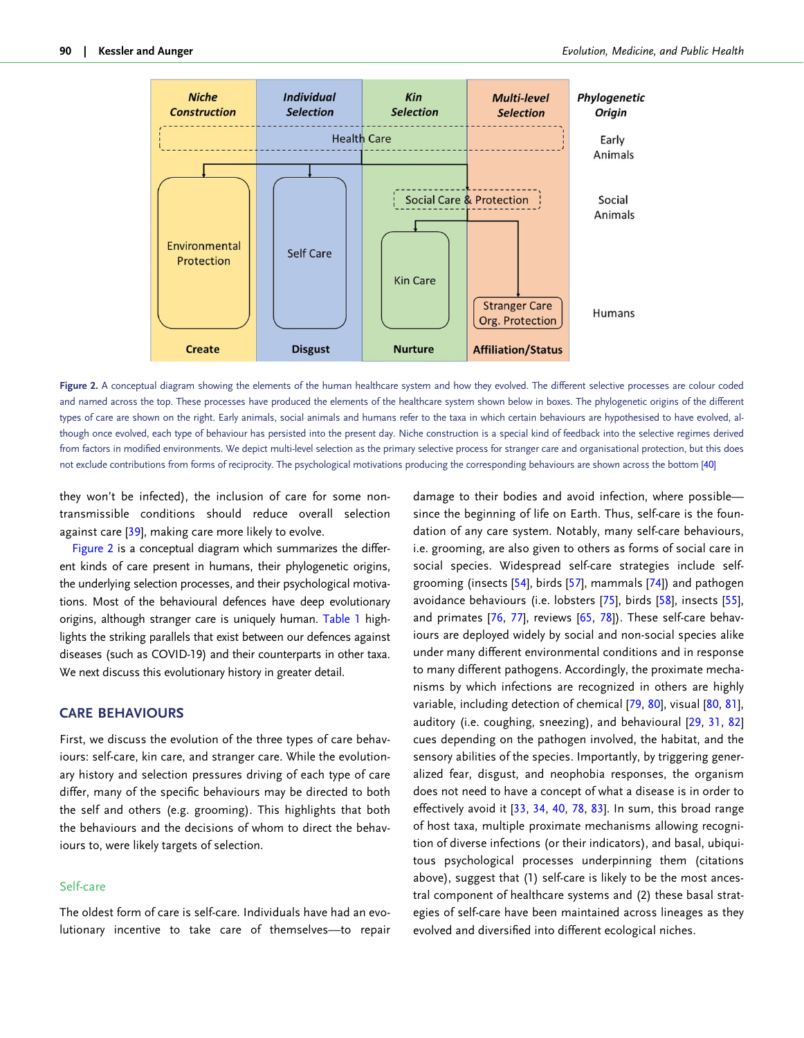<span id="page-3-0"></span>

Figure 2. A conceptual diagram showing the elements of the human healthcare system and how they evolved. The different selective processes are colour coded and named across the top. These processes have produced the elements of the healthcare system shown below in boxes. The phylogenetic origins of the different types of care are shown on the right. Early animals, social animals and humans refer to the taxa in which certain behaviours are hypothesised to have evolved, although once evolved, each type of behaviour has persisted into the present day. Niche construction is a special kind of feedback into the selective regimes derived from factors in modified environments. We depict multi-level selection as the primary selective process for stranger care and organisational protection, but this does not exclude contributions from forms of reciprocity. The psychological motivations producing the corresponding behaviours are shown across the bottom [\[40\]](#page-15-0)

they won't be infected), the inclusion of care for some nontransmissible conditions should reduce overall selection against care [[39](#page-15-0)], making care more likely to evolve.

Figure 2 is a conceptual diagram which summarizes the different kinds of care present in humans, their phylogenetic origins, the underlying selection processes, and their psychological motivations. Most of the behavioural defences have deep evolutionary origins, although stranger care is uniquely human. [Table 1](#page-4-0) highlights the striking parallels that exist between our defences against diseases (such as COVID-19) and their counterparts in other taxa. We next discuss this evolutionary history in greater detail.

## CARE BEHAVIOURS

First, we discuss the evolution of the three types of care behaviours: self-care, kin care, and stranger care. While the evolutionary history and selection pressures driving of each type of care differ, many of the specific behaviours may be directed to both the self and others (e.g. grooming). This highlights that both the behaviours and the decisions of whom to direct the behaviours to, were likely targets of selection.

## Self-care

The oldest form of care is self-care. Individuals have had an evolutionary incentive to take care of themselves—to repair damage to their bodies and avoid infection, where possible since the beginning of life on Earth. Thus, self-care is the foundation of any care system. Notably, many self-care behaviours, i.e. grooming, are also given to others as forms of social care in social species. Widespread self-care strategies include selfgrooming (insects [[54](#page-15-0)], birds [\[57\]](#page-15-0), mammals [[74](#page-16-0)]) and pathogen avoidance behaviours (i.e. lobsters [\[75\]](#page-16-0), birds [\[58\]](#page-15-0), insects [[55](#page-15-0)], and primates [[76](#page-16-0), [77\]](#page-16-0), reviews [[65](#page-16-0), [78\]](#page-16-0)). These self-care behaviours are deployed widely by social and non-social species alike under many different environmental conditions and in response to many different pathogens. Accordingly, the proximate mechanisms by which infections are recognized in others are highly variable, including detection of chemical [\[79,](#page-16-0) [80](#page-16-0)], visual [\[80,](#page-16-0) [81](#page-16-0)], auditory (i.e. coughing, sneezing), and behavioural [[29](#page-15-0), [31](#page-15-0), [82\]](#page-16-0) cues depending on the pathogen involved, the habitat, and the sensory abilities of the species. Importantly, by triggering generalized fear, disgust, and neophobia responses, the organism does not need to have a concept of what a disease is in order to effectively avoid it [\[33,](#page-15-0) [34,](#page-15-0) [40](#page-15-0), [78](#page-16-0), [83](#page-16-0)]. In sum, this broad range of host taxa, multiple proximate mechanisms allowing recognition of diverse infections (or their indicators), and basal, ubiquitous psychological processes underpinning them (citations above), suggest that (1) self-care is likely to be the most ancestral component of healthcare systems and (2) these basal strategies of self-care have been maintained across lineages as they evolved and diversified into different ecological niches.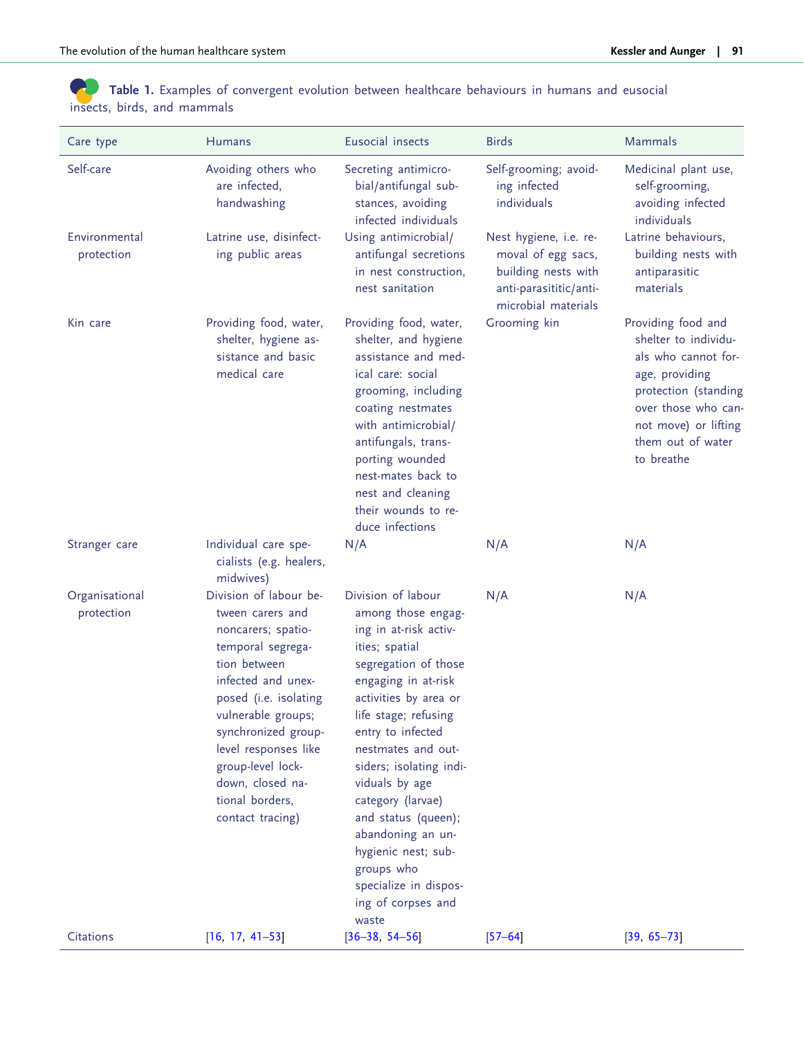<span id="page-4-0"></span>Table 1. Examples of convergent evolution between healthcare behaviours in humans and eusocial insects, birds, and mammals

| Care type                    | Humans                                                                                                                                                                                                                                                                                                    | Eusocial insects                                                                                                                                                                                                                                                                                                                                                                                                                          | <b>Birds</b>                                                                                                         | Mammals                                                                                                                                                                                       |
|------------------------------|-----------------------------------------------------------------------------------------------------------------------------------------------------------------------------------------------------------------------------------------------------------------------------------------------------------|-------------------------------------------------------------------------------------------------------------------------------------------------------------------------------------------------------------------------------------------------------------------------------------------------------------------------------------------------------------------------------------------------------------------------------------------|----------------------------------------------------------------------------------------------------------------------|-----------------------------------------------------------------------------------------------------------------------------------------------------------------------------------------------|
| Self-care                    | Avoiding others who<br>are infected,<br>handwashing                                                                                                                                                                                                                                                       | Secreting antimicro-<br>bial/antifungal sub-<br>stances, avoiding<br>infected individuals                                                                                                                                                                                                                                                                                                                                                 | Self-grooming; avoid-<br>ing infected<br>individuals                                                                 | Medicinal plant use,<br>self-grooming,<br>avoiding infected<br>individuals                                                                                                                    |
| Environmental<br>protection  | Latrine use, disinfect-<br>ing public areas                                                                                                                                                                                                                                                               | Using antimicrobial/<br>antifungal secretions<br>in nest construction,<br>nest sanitation                                                                                                                                                                                                                                                                                                                                                 | Nest hygiene, i.e. re-<br>moval of egg sacs,<br>building nests with<br>anti-parasititic/anti-<br>microbial materials | Latrine behaviours,<br>building nests with<br>antiparasitic<br>materials                                                                                                                      |
| Kin care                     | Providing food, water,<br>shelter, hygiene as-<br>sistance and basic<br>medical care                                                                                                                                                                                                                      | Providing food, water,<br>shelter, and hygiene<br>assistance and med-<br>ical care: social<br>grooming, including<br>coating nestmates<br>with antimicrobial/<br>antifungals, trans-<br>porting wounded<br>nest-mates back to<br>nest and cleaning<br>their wounds to re-<br>duce infections                                                                                                                                              | Grooming kin                                                                                                         | Providing food and<br>shelter to individu-<br>als who cannot for-<br>age, providing<br>protection (standing<br>over those who can-<br>not move) or lifting<br>them out of water<br>to breathe |
| Stranger care                | Individual care spe-<br>cialists (e.g. healers,<br>midwives)                                                                                                                                                                                                                                              | N/A                                                                                                                                                                                                                                                                                                                                                                                                                                       | N/A                                                                                                                  | N/A                                                                                                                                                                                           |
| Organisational<br>protection | Division of labour be-<br>tween carers and<br>noncarers; spatio-<br>temporal segrega-<br>tion between<br>infected and unex-<br>posed (i.e. isolating<br>vulnerable groups;<br>synchronized group-<br>level responses like<br>group-level lock-<br>down, closed na-<br>tional borders,<br>contact tracing) | Division of labour<br>among those engag-<br>ing in at-risk activ-<br>ities; spatial<br>segregation of those<br>engaging in at-risk<br>activities by area or<br>life stage; refusing<br>entry to infected<br>nestmates and out-<br>siders; isolating indi-<br>viduals by age<br>category (larvae)<br>and status (queen);<br>abandoning an un-<br>hygienic nest; sub-<br>groups who<br>specialize in dispos-<br>ing of corpses and<br>waste | N/A                                                                                                                  | N/A                                                                                                                                                                                           |
| Citations                    | $[16, 17, 41-53]$                                                                                                                                                                                                                                                                                         | $[36 - 38, 54 - 56]$                                                                                                                                                                                                                                                                                                                                                                                                                      | $[57 - 64]$                                                                                                          | $[39, 65 - 73]$                                                                                                                                                                               |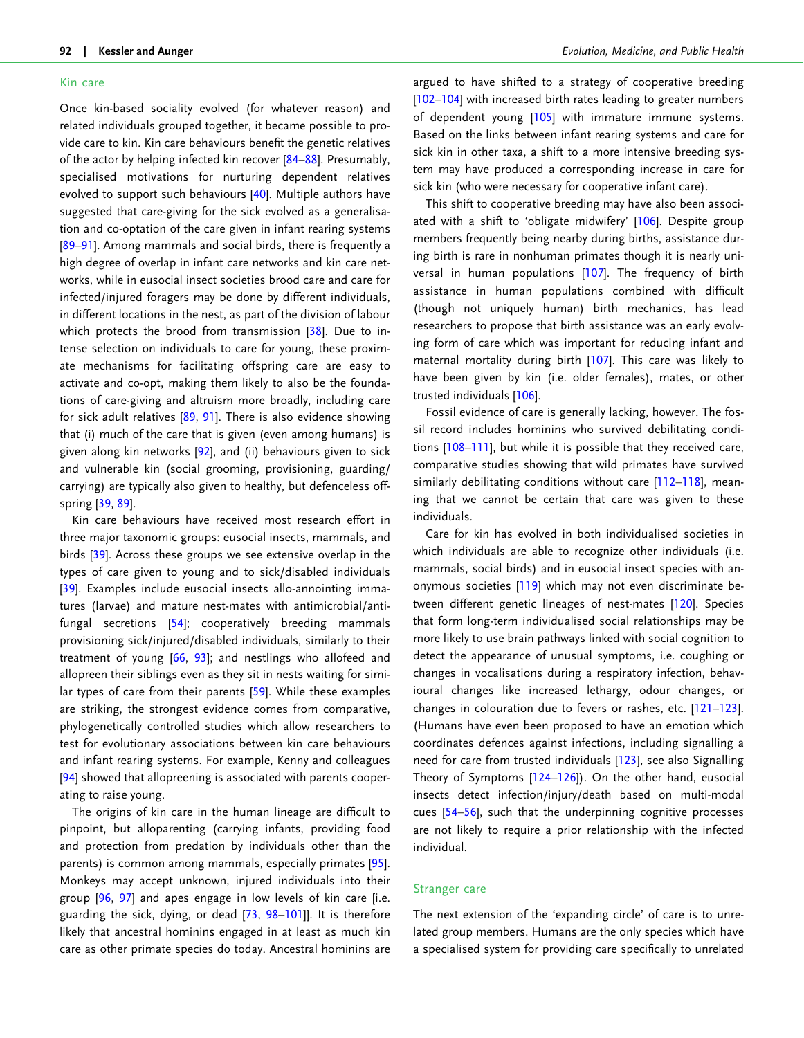#### <span id="page-5-0"></span>Kin care

Once kin-based sociality evolved (for whatever reason) and related individuals grouped together, it became possible to provide care to kin. Kin care behaviours benefit the genetic relatives of the actor by helping infected kin recover [\[84–88\]](#page-16-0). Presumably, specialised motivations for nurturing dependent relatives evolved to support such behaviours [\[40\]](#page-15-0). Multiple authors have suggested that care-giving for the sick evolved as a generalisation and co-optation of the care given in infant rearing systems [[89–91\]](#page-16-0). Among mammals and social birds, there is frequently a high degree of overlap in infant care networks and kin care networks, while in eusocial insect societies brood care and care for infected/injured foragers may be done by different individuals, in different locations in the nest, as part of the division of labour which protects the brood from transmission [[38](#page-15-0)]. Due to intense selection on individuals to care for young, these proximate mechanisms for facilitating offspring care are easy to activate and co-opt, making them likely to also be the foundations of care-giving and altruism more broadly, including care for sick adult relatives [[89](#page-16-0), [91](#page-16-0)]. There is also evidence showing that (i) much of the care that is given (even among humans) is given along kin networks [[92](#page-16-0)], and (ii) behaviours given to sick and vulnerable kin (social grooming, provisioning, guarding/ carrying) are typically also given to healthy, but defenceless offspring [\[39,](#page-15-0) [89\]](#page-16-0).

Kin care behaviours have received most research effort in three major taxonomic groups: eusocial insects, mammals, and birds [[39](#page-15-0)]. Across these groups we see extensive overlap in the types of care given to young and to sick/disabled individuals [[39](#page-15-0)]. Examples include eusocial insects allo-annointing immatures (larvae) and mature nest-mates with antimicrobial/antifungal secretions [\[54\]](#page-15-0); cooperatively breeding mammals provisioning sick/injured/disabled individuals, similarly to their treatment of young [[66](#page-16-0), [93\]](#page-16-0); and nestlings who allofeed and allopreen their siblings even as they sit in nests waiting for similar types of care from their parents [[59](#page-15-0)]. While these examples are striking, the strongest evidence comes from comparative, phylogenetically controlled studies which allow researchers to test for evolutionary associations between kin care behaviours and infant rearing systems. For example, Kenny and colleagues [[94](#page-16-0)] showed that allopreening is associated with parents cooperating to raise young.

The origins of kin care in the human lineage are difficult to pinpoint, but alloparenting (carrying infants, providing food and protection from predation by individuals other than the parents) is common among mammals, especially primates [\[95\]](#page-16-0). Monkeys may accept unknown, injured individuals into their group [\[96,](#page-16-0) [97](#page-16-0)] and apes engage in low levels of kin care [i.e. guarding the sick, dying, or dead [[73](#page-16-0), [98](#page-16-0)–[101](#page-17-0)]]. It is therefore likely that ancestral hominins engaged in at least as much kin care as other primate species do today. Ancestral hominins are

argued to have shifted to a strategy of cooperative breeding [\[102–104](#page-17-0)] with increased birth rates leading to greater numbers of dependent young [[105\]](#page-17-0) with immature immune systems. Based on the links between infant rearing systems and care for sick kin in other taxa, a shift to a more intensive breeding system may have produced a corresponding increase in care for sick kin (who were necessary for cooperative infant care).

This shift to cooperative breeding may have also been associ-ated with a shift to 'obligate midwifery' [[106\]](#page-17-0). Despite group members frequently being nearby during births, assistance during birth is rare in nonhuman primates though it is nearly universal in human populations [[107](#page-17-0)]. The frequency of birth assistance in human populations combined with difficult (though not uniquely human) birth mechanics, has lead researchers to propose that birth assistance was an early evolving form of care which was important for reducing infant and maternal mortality during birth [[107](#page-17-0)]. This care was likely to have been given by kin (i.e. older females), mates, or other trusted individuals [\[106](#page-17-0)].

Fossil evidence of care is generally lacking, however. The fossil record includes hominins who survived debilitating conditions [[108–111](#page-17-0)], but while it is possible that they received care, comparative studies showing that wild primates have survived similarly debilitating conditions without care [112-118], meaning that we cannot be certain that care was given to these individuals.

Care for kin has evolved in both individualised societies in which individuals are able to recognize other individuals (i.e. mammals, social birds) and in eusocial insect species with anonymous societies [[119\]](#page-17-0) which may not even discriminate between different genetic lineages of nest-mates [\[120\]](#page-17-0). Species that form long-term individualised social relationships may be more likely to use brain pathways linked with social cognition to detect the appearance of unusual symptoms, i.e. coughing or changes in vocalisations during a respiratory infection, behavioural changes like increased lethargy, odour changes, or changes in colouration due to fevers or rashes, etc. [[121](#page-17-0)–[123](#page-17-0)]. (Humans have even been proposed to have an emotion which coordinates defences against infections, including signalling a need for care from trusted individuals [\[123](#page-17-0)], see also Signalling Theory of Symptoms [[124–126](#page-17-0)]). On the other hand, eusocial insects detect infection/injury/death based on multi-modal cues [\[54–56](#page-15-0)], such that the underpinning cognitive processes are not likely to require a prior relationship with the infected individual.

#### Stranger care

The next extension of the 'expanding circle' of care is to unrelated group members. Humans are the only species which have a specialised system for providing care specifically to unrelated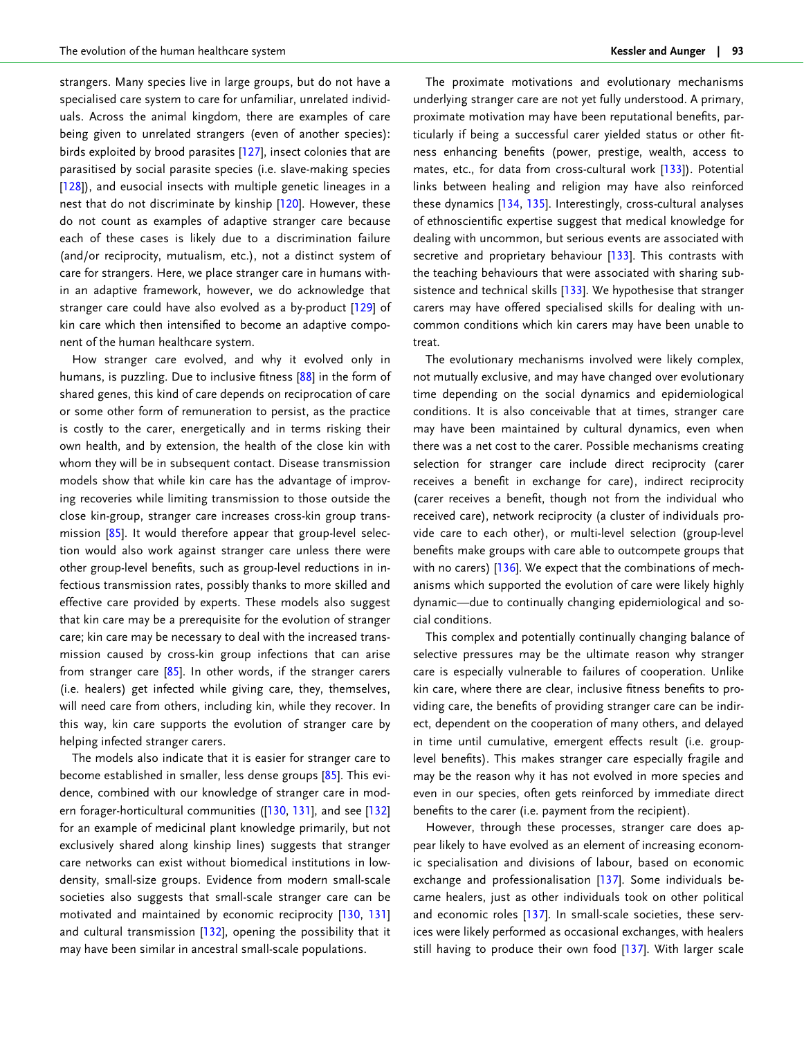<span id="page-6-0"></span>strangers. Many species live in large groups, but do not have a specialised care system to care for unfamiliar, unrelated individuals. Across the animal kingdom, there are examples of care being given to unrelated strangers (even of another species): birds exploited by brood parasites [\[127\]](#page-17-0), insect colonies that are parasitised by social parasite species (i.e. slave-making species [[128](#page-17-0)]), and eusocial insects with multiple genetic lineages in a nest that do not discriminate by kinship [\[120\]](#page-17-0). However, these do not count as examples of adaptive stranger care because each of these cases is likely due to a discrimination failure (and/or reciprocity, mutualism, etc.), not a distinct system of care for strangers. Here, we place stranger care in humans within an adaptive framework, however, we do acknowledge that stranger care could have also evolved as a by-product [[129\]](#page-17-0) of kin care which then intensified to become an adaptive component of the human healthcare system.

How stranger care evolved, and why it evolved only in humans, is puzzling. Due to inclusive fitness [\[88\]](#page-16-0) in the form of shared genes, this kind of care depends on reciprocation of care or some other form of remuneration to persist, as the practice is costly to the carer, energetically and in terms risking their own health, and by extension, the health of the close kin with whom they will be in subsequent contact. Disease transmission models show that while kin care has the advantage of improving recoveries while limiting transmission to those outside the close kin-group, stranger care increases cross-kin group trans-mission [[85\]](#page-16-0). It would therefore appear that group-level selection would also work against stranger care unless there were other group-level benefits, such as group-level reductions in infectious transmission rates, possibly thanks to more skilled and effective care provided by experts. These models also suggest that kin care may be a prerequisite for the evolution of stranger care; kin care may be necessary to deal with the increased transmission caused by cross-kin group infections that can arise from stranger care  $[85]$ . In other words, if the stranger carers (i.e. healers) get infected while giving care, they, themselves, will need care from others, including kin, while they recover. In this way, kin care supports the evolution of stranger care by helping infected stranger carers.

The models also indicate that it is easier for stranger care to become established in smaller, less dense groups [[85\]](#page-16-0). This evidence, combined with our knowledge of stranger care in modern forager-horticultural communities ([[130,](#page-17-0) [131](#page-17-0)], and see [[132](#page-17-0)] for an example of medicinal plant knowledge primarily, but not exclusively shared along kinship lines) suggests that stranger care networks can exist without biomedical institutions in lowdensity, small-size groups. Evidence from modern small-scale societies also suggests that small-scale stranger care can be motivated and maintained by economic reciprocity [\[130](#page-17-0), [131](#page-17-0)] and cultural transmission [[132](#page-17-0)], opening the possibility that it may have been similar in ancestral small-scale populations.

The proximate motivations and evolutionary mechanisms underlying stranger care are not yet fully understood. A primary, proximate motivation may have been reputational benefits, particularly if being a successful carer yielded status or other fitness enhancing benefits (power, prestige, wealth, access to mates, etc., for data from cross-cultural work [[133\]](#page-17-0)). Potential links between healing and religion may have also reinforced these dynamics [[134,](#page-17-0) [135\]](#page-17-0). Interestingly, cross-cultural analyses of ethnoscientific expertise suggest that medical knowledge for dealing with uncommon, but serious events are associated with secretive and proprietary behaviour [\[133\]](#page-17-0). This contrasts with the teaching behaviours that were associated with sharing subsistence and technical skills [[133](#page-17-0)]. We hypothesise that stranger carers may have offered specialised skills for dealing with uncommon conditions which kin carers may have been unable to treat.

The evolutionary mechanisms involved were likely complex, not mutually exclusive, and may have changed over evolutionary time depending on the social dynamics and epidemiological conditions. It is also conceivable that at times, stranger care may have been maintained by cultural dynamics, even when there was a net cost to the carer. Possible mechanisms creating selection for stranger care include direct reciprocity (carer receives a benefit in exchange for care), indirect reciprocity (carer receives a benefit, though not from the individual who received care), network reciprocity (a cluster of individuals provide care to each other), or multi-level selection (group-level benefits make groups with care able to outcompete groups that with no carers) [[136\]](#page-17-0). We expect that the combinations of mechanisms which supported the evolution of care were likely highly dynamic—due to continually changing epidemiological and social conditions.

This complex and potentially continually changing balance of selective pressures may be the ultimate reason why stranger care is especially vulnerable to failures of cooperation. Unlike kin care, where there are clear, inclusive fitness benefits to providing care, the benefits of providing stranger care can be indirect, dependent on the cooperation of many others, and delayed in time until cumulative, emergent effects result (i.e. grouplevel benefits). This makes stranger care especially fragile and may be the reason why it has not evolved in more species and even in our species, often gets reinforced by immediate direct benefits to the carer (i.e. payment from the recipient).

However, through these processes, stranger care does appear likely to have evolved as an element of increasing economic specialisation and divisions of labour, based on economic exchange and professionalisation [[137](#page-17-0)]. Some individuals became healers, just as other individuals took on other political and economic roles [[137](#page-17-0)]. In small-scale societies, these services were likely performed as occasional exchanges, with healers still having to produce their own food [\[137](#page-17-0)]. With larger scale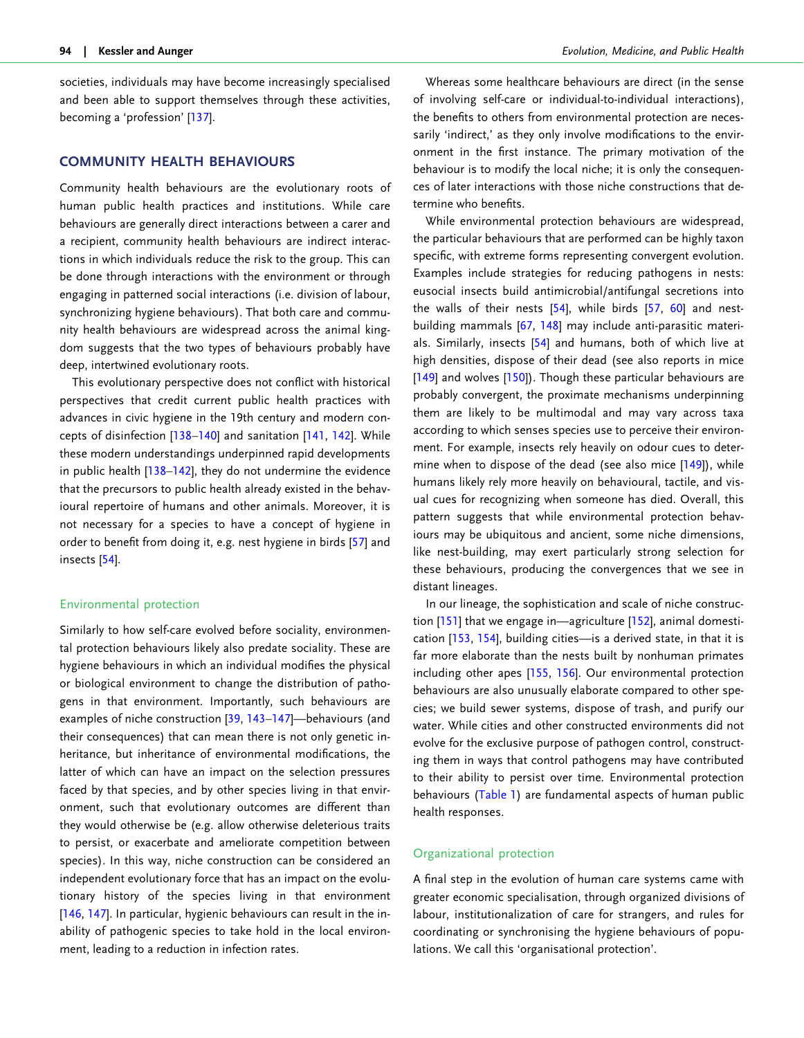<span id="page-7-0"></span>societies, individuals may have become increasingly specialised and been able to support themselves through these activities, becoming a 'profession' [\[137](#page-17-0)].

## COMMUNITY HEALTH BEHAVIOURS

Community health behaviours are the evolutionary roots of human public health practices and institutions. While care behaviours are generally direct interactions between a carer and a recipient, community health behaviours are indirect interactions in which individuals reduce the risk to the group. This can be done through interactions with the environment or through engaging in patterned social interactions (i.e. division of labour, synchronizing hygiene behaviours). That both care and community health behaviours are widespread across the animal kingdom suggests that the two types of behaviours probably have deep, intertwined evolutionary roots.

This evolutionary perspective does not conflict with historical perspectives that credit current public health practices with advances in civic hygiene in the 19th century and modern concepts of disinfection [[138](#page-17-0)–[140](#page-17-0)] and sanitation [\[141,](#page-17-0) [142](#page-17-0)]. While these modern understandings underpinned rapid developments in public health [\[138–142\]](#page-17-0), they do not undermine the evidence that the precursors to public health already existed in the behavioural repertoire of humans and other animals. Moreover, it is not necessary for a species to have a concept of hygiene in order to benefit from doing it, e.g. nest hygiene in birds [\[57\]](#page-15-0) and insects [[54](#page-15-0)].

#### Environmental protection

Similarly to how self-care evolved before sociality, environmental protection behaviours likely also predate sociality. These are hygiene behaviours in which an individual modifies the physical or biological environment to change the distribution of pathogens in that environment. Importantly, such behaviours are examples of niche construction [[39](#page-15-0), [143–147](#page-18-0)]—behaviours (and their consequences) that can mean there is not only genetic inheritance, but inheritance of environmental modifications, the latter of which can have an impact on the selection pressures faced by that species, and by other species living in that environment, such that evolutionary outcomes are different than they would otherwise be (e.g. allow otherwise deleterious traits to persist, or exacerbate and ameliorate competition between species). In this way, niche construction can be considered an independent evolutionary force that has an impact on the evolutionary history of the species living in that environment [[146](#page-18-0), [147](#page-18-0)]. In particular, hygienic behaviours can result in the inability of pathogenic species to take hold in the local environment, leading to a reduction in infection rates.

Whereas some healthcare behaviours are direct (in the sense of involving self-care or individual-to-individual interactions), the benefits to others from environmental protection are necessarily 'indirect,' as they only involve modifications to the environment in the first instance. The primary motivation of the behaviour is to modify the local niche; it is only the consequences of later interactions with those niche constructions that determine who benefits.

While environmental protection behaviours are widespread, the particular behaviours that are performed can be highly taxon specific, with extreme forms representing convergent evolution. Examples include strategies for reducing pathogens in nests: eusocial insects build antimicrobial/antifungal secretions into the walls of their nests [\[54\]](#page-15-0), while birds [[57](#page-15-0), [60](#page-15-0)] and nestbuilding mammals [\[67,](#page-16-0) [148\]](#page-18-0) may include anti-parasitic materials. Similarly, insects [\[54\]](#page-15-0) and humans, both of which live at high densities, dispose of their dead (see also reports in mice [\[149](#page-18-0)] and wolves [[150](#page-18-0)]). Though these particular behaviours are probably convergent, the proximate mechanisms underpinning them are likely to be multimodal and may vary across taxa according to which senses species use to perceive their environment. For example, insects rely heavily on odour cues to deter-mine when to dispose of the dead (see also mice [[149\]](#page-18-0)), while humans likely rely more heavily on behavioural, tactile, and visual cues for recognizing when someone has died. Overall, this pattern suggests that while environmental protection behaviours may be ubiquitous and ancient, some niche dimensions, like nest-building, may exert particularly strong selection for these behaviours, producing the convergences that we see in distant lineages.

In our lineage, the sophistication and scale of niche construction [\[151\]](#page-18-0) that we engage in—agriculture [\[152](#page-18-0)], animal domestication [\[153,](#page-18-0) [154\]](#page-18-0), building cities—is a derived state, in that it is far more elaborate than the nests built by nonhuman primates including other apes [[155,](#page-18-0) [156](#page-18-0)]. Our environmental protection behaviours are also unusually elaborate compared to other species; we build sewer systems, dispose of trash, and purify our water. While cities and other constructed environments did not evolve for the exclusive purpose of pathogen control, constructing them in ways that control pathogens may have contributed to their ability to persist over time. Environmental protection behaviours ([Table 1\)](#page-4-0) are fundamental aspects of human public health responses.

#### Organizational protection

A final step in the evolution of human care systems came with greater economic specialisation, through organized divisions of labour, institutionalization of care for strangers, and rules for coordinating or synchronising the hygiene behaviours of populations. We call this 'organisational protection'.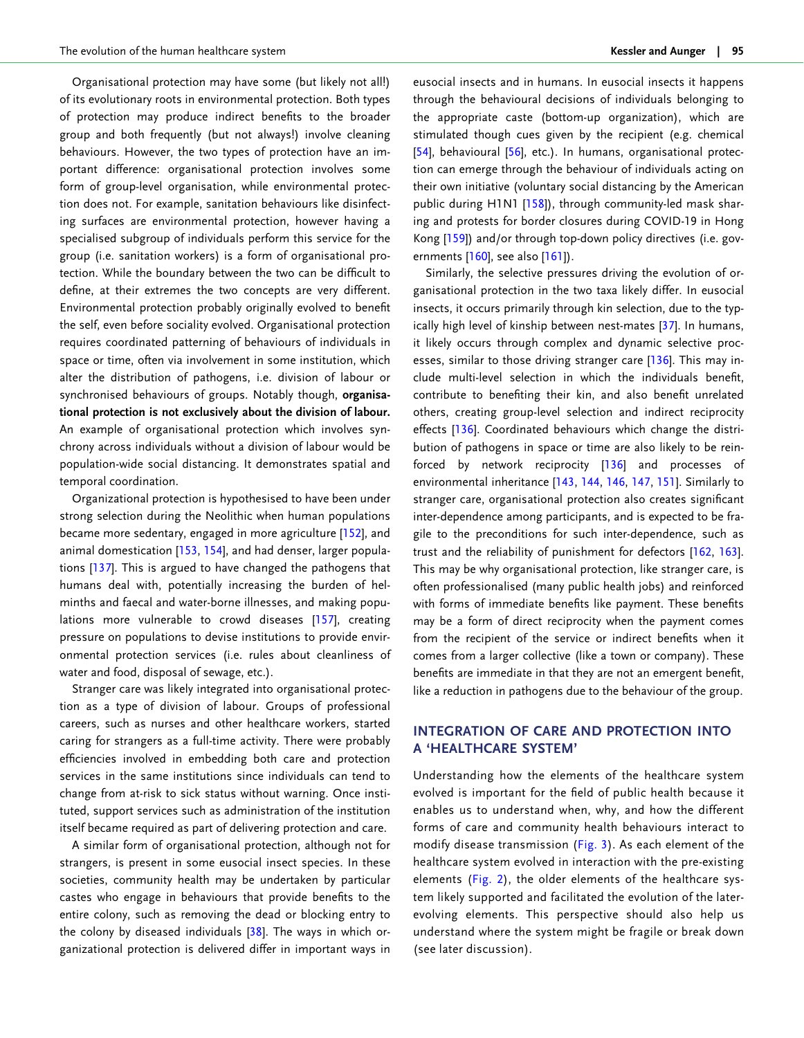<span id="page-8-0"></span>Organisational protection may have some (but likely not all!) of its evolutionary roots in environmental protection. Both types of protection may produce indirect benefits to the broader group and both frequently (but not always!) involve cleaning behaviours. However, the two types of protection have an important difference: organisational protection involves some form of group-level organisation, while environmental protection does not. For example, sanitation behaviours like disinfecting surfaces are environmental protection, however having a specialised subgroup of individuals perform this service for the group (i.e. sanitation workers) is a form of organisational protection. While the boundary between the two can be difficult to define, at their extremes the two concepts are very different. Environmental protection probably originally evolved to benefit the self, even before sociality evolved. Organisational protection requires coordinated patterning of behaviours of individuals in space or time, often via involvement in some institution, which alter the distribution of pathogens, i.e. division of labour or synchronised behaviours of groups. Notably though, organisational protection is not exclusively about the division of labour. An example of organisational protection which involves synchrony across individuals without a division of labour would be population-wide social distancing. It demonstrates spatial and temporal coordination.

Organizational protection is hypothesised to have been under strong selection during the Neolithic when human populations became more sedentary, engaged in more agriculture [\[152](#page-18-0)], and animal domestication [\[153](#page-18-0), [154\]](#page-18-0), and had denser, larger populations [[137\]](#page-17-0). This is argued to have changed the pathogens that humans deal with, potentially increasing the burden of helminths and faecal and water-borne illnesses, and making populations more vulnerable to crowd diseases [\[157](#page-18-0)], creating pressure on populations to devise institutions to provide environmental protection services (i.e. rules about cleanliness of water and food, disposal of sewage, etc.).

Stranger care was likely integrated into organisational protection as a type of division of labour. Groups of professional careers, such as nurses and other healthcare workers, started caring for strangers as a full-time activity. There were probably efficiencies involved in embedding both care and protection services in the same institutions since individuals can tend to change from at-risk to sick status without warning. Once instituted, support services such as administration of the institution itself became required as part of delivering protection and care.

A similar form of organisational protection, although not for strangers, is present in some eusocial insect species. In these societies, community health may be undertaken by particular castes who engage in behaviours that provide benefits to the entire colony, such as removing the dead or blocking entry to the colony by diseased individuals  $[38]$ . The ways in which organizational protection is delivered differ in important ways in eusocial insects and in humans. In eusocial insects it happens through the behavioural decisions of individuals belonging to the appropriate caste (bottom-up organization), which are stimulated though cues given by the recipient (e.g. chemical [\[54\]](#page-15-0), behavioural [\[56\]](#page-15-0), etc.). In humans, organisational protection can emerge through the behaviour of individuals acting on their own initiative (voluntary social distancing by the American public during H1N1 [[158\]](#page-18-0)), through community-led mask sharing and protests for border closures during COVID-19 in Hong Kong [\[159\]](#page-18-0)) and/or through top-down policy directives (i.e. governments  $[160]$  $[160]$ , see also  $[161]$  $[161]$ ).

Similarly, the selective pressures driving the evolution of organisational protection in the two taxa likely differ. In eusocial insects, it occurs primarily through kin selection, due to the typically high level of kinship between nest-mates [\[37\]](#page-15-0). In humans, it likely occurs through complex and dynamic selective processes, similar to those driving stranger care  $[136]$ . This may include multi-level selection in which the individuals benefit, contribute to benefiting their kin, and also benefit unrelated others, creating group-level selection and indirect reciprocity effects [[136\]](#page-17-0). Coordinated behaviours which change the distribution of pathogens in space or time are also likely to be reinforced by network reciprocity [[136\]](#page-17-0) and processes of environmental inheritance [\[143,](#page-18-0) [144](#page-18-0), [146](#page-18-0), [147,](#page-18-0) [151\]](#page-18-0). Similarly to stranger care, organisational protection also creates significant inter-dependence among participants, and is expected to be fragile to the preconditions for such inter-dependence, such as trust and the reliability of punishment for defectors [[162](#page-18-0), [163](#page-18-0)]. This may be why organisational protection, like stranger care, is often professionalised (many public health jobs) and reinforced with forms of immediate benefits like payment. These benefits may be a form of direct reciprocity when the payment comes from the recipient of the service or indirect benefits when it comes from a larger collective (like a town or company). These benefits are immediate in that they are not an emergent benefit, like a reduction in pathogens due to the behaviour of the group.

# INTEGRATION OF CARE AND PROTECTION INTO A 'HEALTHCARE SYSTEM'

Understanding how the elements of the healthcare system evolved is important for the field of public health because it enables us to understand when, why, and how the different forms of care and community health behaviours interact to modify disease transmission ([Fig. 3](#page-9-0)). As each element of the healthcare system evolved in interaction with the pre-existing elements ([Fig. 2\)](#page-3-0), the older elements of the healthcare system likely supported and facilitated the evolution of the laterevolving elements. This perspective should also help us understand where the system might be fragile or break down (see later discussion).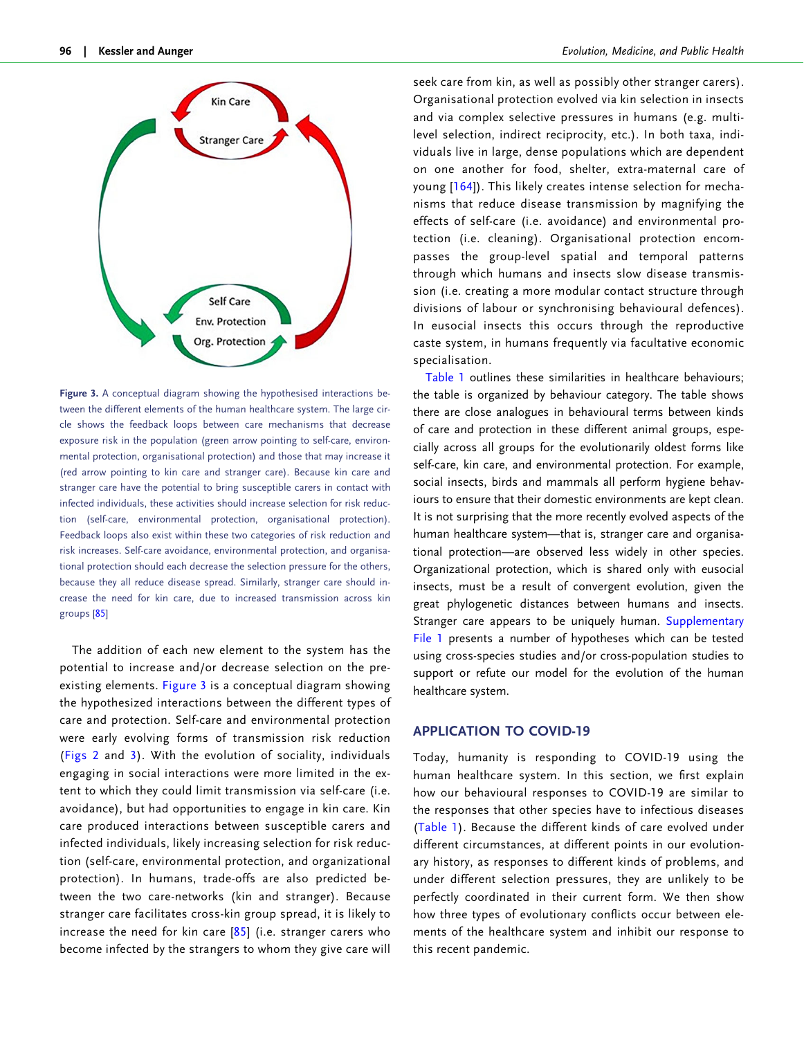<span id="page-9-0"></span>

Figure 3. A conceptual diagram showing the hypothesised interactions between the different elements of the human healthcare system. The large circle shows the feedback loops between care mechanisms that decrease exposure risk in the population (green arrow pointing to self-care, environmental protection, organisational protection) and those that may increase it (red arrow pointing to kin care and stranger care). Because kin care and stranger care have the potential to bring susceptible carers in contact with infected individuals, these activities should increase selection for risk reduction (self-care, environmental protection, organisational protection). Feedback loops also exist within these two categories of risk reduction and risk increases. Self-care avoidance, environmental protection, and organisational protection should each decrease the selection pressure for the others, because they all reduce disease spread. Similarly, stranger care should increase the need for kin care, due to increased transmission across kin groups [[85\]](#page-16-0)

The addition of each new element to the system has the potential to increase and/or decrease selection on the preexisting elements. Figure 3 is a conceptual diagram showing the hypothesized interactions between the different types of care and protection. Self-care and environmental protection were early evolving forms of transmission risk reduction ([Figs 2](#page-3-0) and 3). With the evolution of sociality, individuals engaging in social interactions were more limited in the extent to which they could limit transmission via self-care (i.e. avoidance), but had opportunities to engage in kin care. Kin care produced interactions between susceptible carers and infected individuals, likely increasing selection for risk reduction (self-care, environmental protection, and organizational protection). In humans, trade-offs are also predicted between the two care-networks (kin and stranger). Because stranger care facilitates cross-kin group spread, it is likely to increase the need for kin care  $[85]$  $[85]$  $[85]$  (i.e. stranger carers who become infected by the strangers to whom they give care will

seek care from kin, as well as possibly other stranger carers). Organisational protection evolved via kin selection in insects and via complex selective pressures in humans (e.g. multilevel selection, indirect reciprocity, etc.). In both taxa, individuals live in large, dense populations which are dependent on one another for food, shelter, extra-maternal care of young [\[164](#page-18-0)]). This likely creates intense selection for mechanisms that reduce disease transmission by magnifying the effects of self-care (i.e. avoidance) and environmental protection (i.e. cleaning). Organisational protection encompasses the group-level spatial and temporal patterns through which humans and insects slow disease transmission (i.e. creating a more modular contact structure through divisions of labour or synchronising behavioural defences). In eusocial insects this occurs through the reproductive caste system, in humans frequently via facultative economic specialisation.

[Table 1](#page-4-0) outlines these similarities in healthcare behaviours; the table is organized by behaviour category. The table shows there are close analogues in behavioural terms between kinds of care and protection in these different animal groups, especially across all groups for the evolutionarily oldest forms like self-care, kin care, and environmental protection. For example, social insects, birds and mammals all perform hygiene behaviours to ensure that their domestic environments are kept clean. It is not surprising that the more recently evolved aspects of the human healthcare system—that is, stranger care and organisational protection—are observed less widely in other species. Organizational protection, which is shared only with eusocial insects, must be a result of convergent evolution, given the great phylogenetic distances between humans and insects. Stranger care appears to be uniquely human. [Supplementary](https://academic.oup.com/emph/article-lookup/doi/10.1093/emph/eoac004#supplementary-data) [File 1](https://academic.oup.com/emph/article-lookup/doi/10.1093/emph/eoac004#supplementary-data) presents a number of hypotheses which can be tested using cross-species studies and/or cross-population studies to support or refute our model for the evolution of the human healthcare system.

# APPLICATION TO COVID-19

Today, humanity is responding to COVID-19 using the human healthcare system. In this section, we first explain how our behavioural responses to COVID-19 are similar to the responses that other species have to infectious diseases [\(Table 1](#page-4-0)). Because the different kinds of care evolved under different circumstances, at different points in our evolutionary history, as responses to different kinds of problems, and under different selection pressures, they are unlikely to be perfectly coordinated in their current form. We then show how three types of evolutionary conflicts occur between elements of the healthcare system and inhibit our response to this recent pandemic.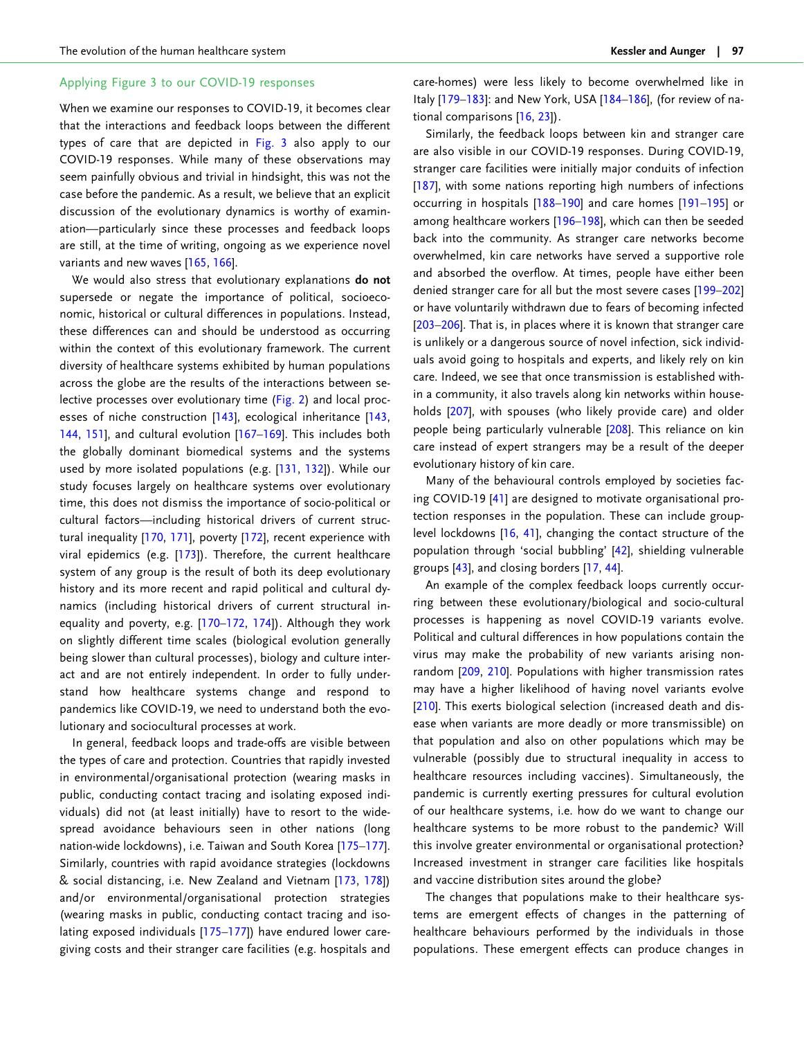## <span id="page-10-0"></span>Applying [Figure 3](#page-9-0) to our COVID-19 responses

When we examine our responses to COVID-19, it becomes clear that the interactions and feedback loops between the different types of care that are depicted in [Fig. 3](#page-9-0) also apply to our COVID-19 responses. While many of these observations may seem painfully obvious and trivial in hindsight, this was not the case before the pandemic. As a result, we believe that an explicit discussion of the evolutionary dynamics is worthy of examination—particularly since these processes and feedback loops are still, at the time of writing, ongoing as we experience novel variants and new waves [\[165,](#page-18-0) [166\]](#page-18-0).

We would also stress that evolutionary explanations do not supersede or negate the importance of political, socioeconomic, historical or cultural differences in populations. Instead, these differences can and should be understood as occurring within the context of this evolutionary framework. The current diversity of healthcare systems exhibited by human populations across the globe are the results of the interactions between selective processes over evolutionary time [\(Fig. 2](#page-3-0)) and local proc-esses of niche construction [\[143](#page-18-0)], ecological inheritance [[143](#page-18-0), [144,](#page-18-0) [151\]](#page-18-0), and cultural evolution [\[167–169\]](#page-18-0). This includes both the globally dominant biomedical systems and the systems used by more isolated populations (e.g. [\[131,](#page-17-0) [132\]](#page-17-0)). While our study focuses largely on healthcare systems over evolutionary time, this does not dismiss the importance of socio-political or cultural factors—including historical drivers of current structural inequality [\[170](#page-18-0), [171](#page-18-0)], poverty [\[172\]](#page-18-0), recent experience with viral epidemics (e.g.  $[173]$  $[173]$ ). Therefore, the current healthcare system of any group is the result of both its deep evolutionary history and its more recent and rapid political and cultural dynamics (including historical drivers of current structural inequality and poverty, e.g. [\[170–172,](#page-18-0) [174\]](#page-18-0)). Although they work on slightly different time scales (biological evolution generally being slower than cultural processes), biology and culture interact and are not entirely independent. In order to fully understand how healthcare systems change and respond to pandemics like COVID-19, we need to understand both the evolutionary and sociocultural processes at work.

In general, feedback loops and trade-offs are visible between the types of care and protection. Countries that rapidly invested in environmental/organisational protection (wearing masks in public, conducting contact tracing and isolating exposed individuals) did not (at least initially) have to resort to the widespread avoidance behaviours seen in other nations (long nation-wide lockdowns), i.e. Taiwan and South Korea [\[175–177\]](#page-18-0). Similarly, countries with rapid avoidance strategies (lockdowns & social distancing, i.e. New Zealand and Vietnam [\[173,](#page-18-0) [178\]](#page-18-0)) and/or environmental/organisational protection strategies (wearing masks in public, conducting contact tracing and isolating exposed individuals [[175–177\]](#page-18-0)) have endured lower caregiving costs and their stranger care facilities (e.g. hospitals and

care-homes) were less likely to become overwhelmed like in Italy [\[179](#page-18-0)-183]: and New York, USA [184-186], (for review of national comparisons [[16](#page-14-0), [23](#page-14-0)]).

Similarly, the feedback loops between kin and stranger care are also visible in our COVID-19 responses. During COVID-19, stranger care facilities were initially major conduits of infection [\[187](#page-19-0)], with some nations reporting high numbers of infections occurring in hospitals [[188](#page-19-0)–[190](#page-19-0)] and care homes [\[191–195\]](#page-19-0) or among healthcare workers [\[196–198](#page-19-0)], which can then be seeded back into the community. As stranger care networks become overwhelmed, kin care networks have served a supportive role and absorbed the overflow. At times, people have either been denied stranger care for all but the most severe cases [\[199–202\]](#page-19-0) or have voluntarily withdrawn due to fears of becoming infected [\[203–206](#page-19-0)]. That is, in places where it is known that stranger care is unlikely or a dangerous source of novel infection, sick individuals avoid going to hospitals and experts, and likely rely on kin care. Indeed, we see that once transmission is established within a community, it also travels along kin networks within households [[207](#page-19-0)], with spouses (who likely provide care) and older people being particularly vulnerable [\[208](#page-19-0)]. This reliance on kin care instead of expert strangers may be a result of the deeper evolutionary history of kin care.

Many of the behavioural controls employed by societies facing COVID-19 [\[41\]](#page-15-0) are designed to motivate organisational protection responses in the population. These can include grouplevel lockdowns [[16](#page-14-0), [41](#page-15-0)], changing the contact structure of the population through 'social bubbling' [[42](#page-15-0)], shielding vulnerable groups [\[43\]](#page-15-0), and closing borders [[17](#page-14-0), [44\]](#page-15-0).

An example of the complex feedback loops currently occurring between these evolutionary/biological and socio-cultural processes is happening as novel COVID-19 variants evolve. Political and cultural differences in how populations contain the virus may make the probability of new variants arising nonrandom [[209,](#page-19-0) [210\]](#page-19-0). Populations with higher transmission rates may have a higher likelihood of having novel variants evolve [\[210](#page-19-0)]. This exerts biological selection (increased death and disease when variants are more deadly or more transmissible) on that population and also on other populations which may be vulnerable (possibly due to structural inequality in access to healthcare resources including vaccines). Simultaneously, the pandemic is currently exerting pressures for cultural evolution of our healthcare systems, i.e. how do we want to change our healthcare systems to be more robust to the pandemic? Will this involve greater environmental or organisational protection? Increased investment in stranger care facilities like hospitals and vaccine distribution sites around the globe?

The changes that populations make to their healthcare systems are emergent effects of changes in the patterning of healthcare behaviours performed by the individuals in those populations. These emergent effects can produce changes in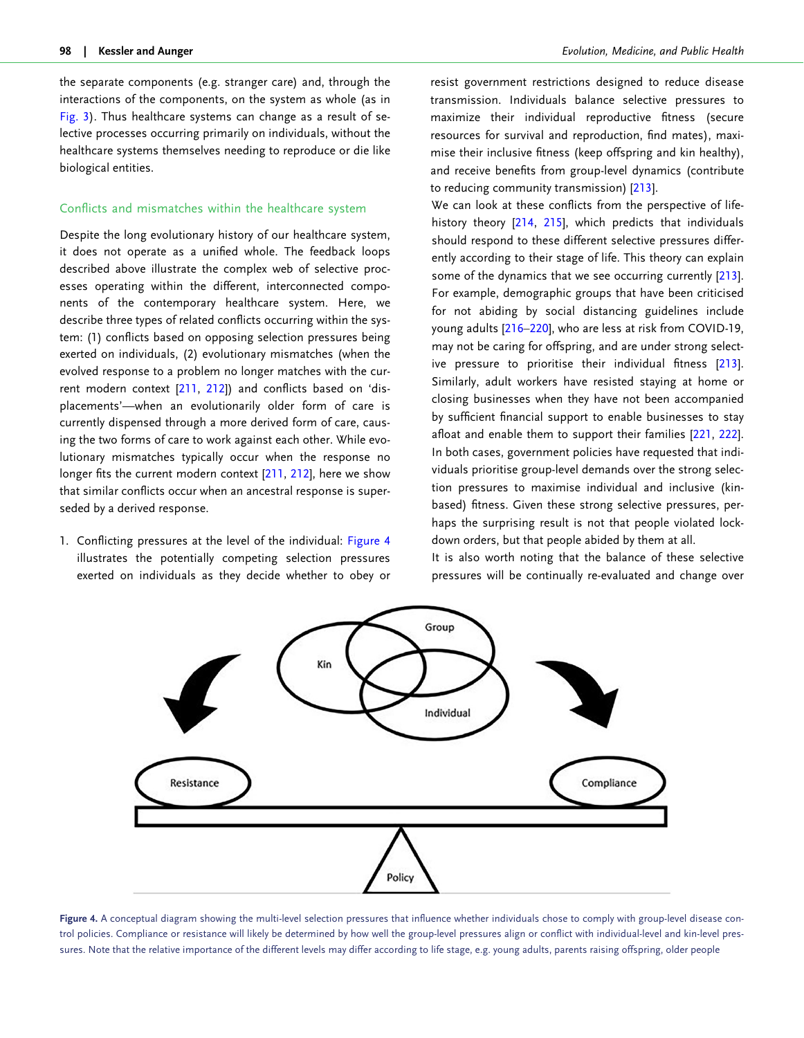<span id="page-11-0"></span>the separate components (e.g. stranger care) and, through the interactions of the components, on the system as whole (as in [Fig. 3](#page-9-0)). Thus healthcare systems can change as a result of selective processes occurring primarily on individuals, without the healthcare systems themselves needing to reproduce or die like biological entities.

## Conflicts and mismatches within the healthcare system

Despite the long evolutionary history of our healthcare system, it does not operate as a unified whole. The feedback loops described above illustrate the complex web of selective processes operating within the different, interconnected components of the contemporary healthcare system. Here, we describe three types of related conflicts occurring within the system: (1) conflicts based on opposing selection pressures being exerted on individuals, (2) evolutionary mismatches (when the evolved response to a problem no longer matches with the current modern context [\[211](#page-19-0), [212](#page-19-0)]) and conflicts based on 'displacements'—when an evolutionarily older form of care is currently dispensed through a more derived form of care, causing the two forms of care to work against each other. While evolutionary mismatches typically occur when the response no longer fits the current modern context [[211](#page-19-0), [212\]](#page-19-0), here we show that similar conflicts occur when an ancestral response is superseded by a derived response.

1. Conflicting pressures at the level of the individual: Figure 4 illustrates the potentially competing selection pressures exerted on individuals as they decide whether to obey or resist government restrictions designed to reduce disease transmission. Individuals balance selective pressures to maximize their individual reproductive fitness (secure resources for survival and reproduction, find mates), maximise their inclusive fitness (keep offspring and kin healthy), and receive benefits from group-level dynamics (contribute to reducing community transmission) [[213\]](#page-19-0).

We can look at these conflicts from the perspective of lifehistory theory [[214,](#page-19-0) [215\]](#page-19-0), which predicts that individuals should respond to these different selective pressures differently according to their stage of life. This theory can explain some of the dynamics that we see occurring currently [[213](#page-19-0)]. For example, demographic groups that have been criticised for not abiding by social distancing guidelines include young adults [[216–](#page-19-0)[220\]](#page-20-0), who are less at risk from COVID-19, may not be caring for offspring, and are under strong selective pressure to prioritise their individual fitness [[213](#page-19-0)]. Similarly, adult workers have resisted staying at home or closing businesses when they have not been accompanied by sufficient financial support to enable businesses to stay afloat and enable them to support their families [\[221](#page-20-0), [222](#page-20-0)]. In both cases, government policies have requested that individuals prioritise group-level demands over the strong selection pressures to maximise individual and inclusive (kinbased) fitness. Given these strong selective pressures, perhaps the surprising result is not that people violated lockdown orders, but that people abided by them at all.

It is also worth noting that the balance of these selective pressures will be continually re-evaluated and change over



Figure 4. A conceptual diagram showing the multi-level selection pressures that influence whether individuals chose to comply with group-level disease control policies. Compliance or resistance will likely be determined by how well the group-level pressures align or conflict with individual-level and kin-level pressures. Note that the relative importance of the different levels may differ according to life stage, e.g. young adults, parents raising offspring, older people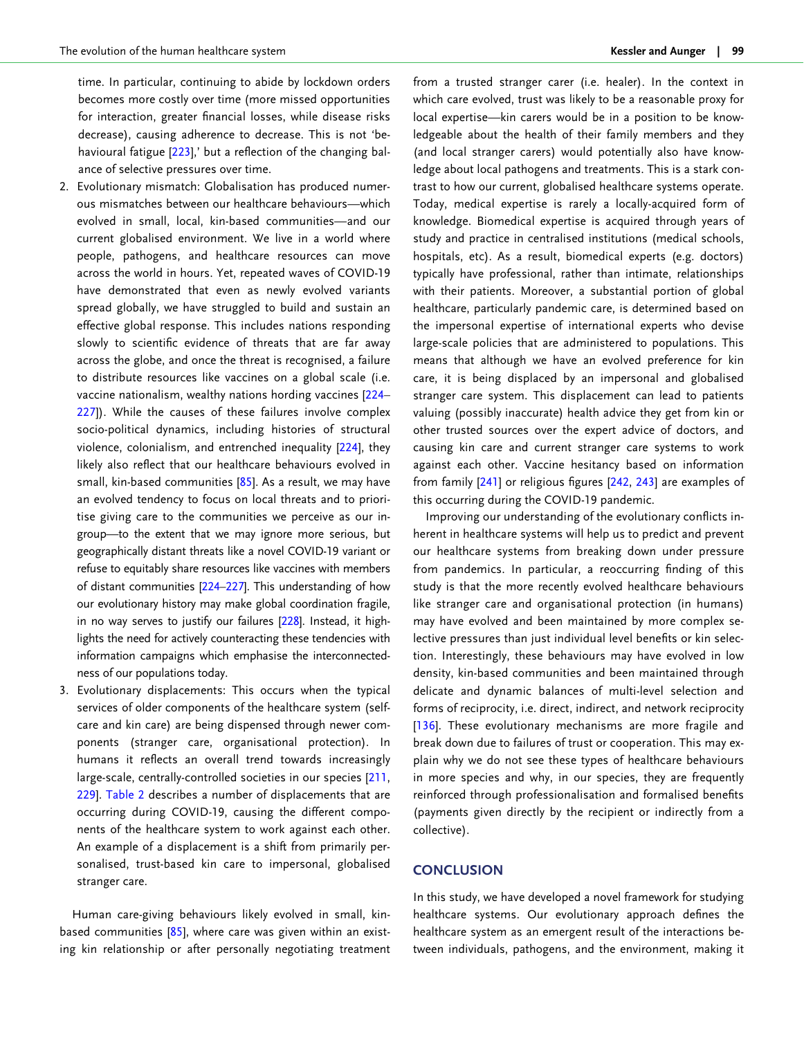<span id="page-12-0"></span>time. In particular, continuing to abide by lockdown orders becomes more costly over time (more missed opportunities for interaction, greater financial losses, while disease risks decrease), causing adherence to decrease. This is not 'be-havioural fatigue [\[223](#page-20-0)],' but a reflection of the changing balance of selective pressures over time.

- 2. Evolutionary mismatch: Globalisation has produced numerous mismatches between our healthcare behaviours—which evolved in small, local, kin-based communities—and our current globalised environment. We live in a world where people, pathogens, and healthcare resources can move across the world in hours. Yet, repeated waves of COVID-19 have demonstrated that even as newly evolved variants spread globally, we have struggled to build and sustain an effective global response. This includes nations responding slowly to scientific evidence of threats that are far away across the globe, and once the threat is recognised, a failure to distribute resources like vaccines on a global scale (i.e. vaccine nationalism, wealthy nations hording vaccines [\[224–](#page-20-0) [227\]](#page-20-0)). While the causes of these failures involve complex socio-political dynamics, including histories of structural violence, colonialism, and entrenched inequality [[224\]](#page-20-0), they likely also reflect that our healthcare behaviours evolved in small, kin-based communities [[85](#page-16-0)]. As a result, we may have an evolved tendency to focus on local threats and to prioritise giving care to the communities we perceive as our ingroup—to the extent that we may ignore more serious, but geographically distant threats like a novel COVID-19 variant or refuse to equitably share resources like vaccines with members of distant communities [[224–227\]](#page-20-0). This understanding of how our evolutionary history may make global coordination fragile, in no way serves to justify our failures [\[228](#page-20-0)]. Instead, it highlights the need for actively counteracting these tendencies with information campaigns which emphasise the interconnectedness of our populations today.
- 3. Evolutionary displacements: This occurs when the typical services of older components of the healthcare system (selfcare and kin care) are being dispensed through newer components (stranger care, organisational protection). In humans it reflects an overall trend towards increasingly large-scale, centrally-controlled societies in our species [[211](#page-19-0), [229\]](#page-20-0). [Table 2](#page-13-0) describes a number of displacements that are occurring during COVID-19, causing the different components of the healthcare system to work against each other. An example of a displacement is a shift from primarily personalised, trust-based kin care to impersonal, globalised stranger care.

Human care-giving behaviours likely evolved in small, kinbased communities  $[85]$  $[85]$  $[85]$ , where care was given within an existing kin relationship or after personally negotiating treatment from a trusted stranger carer (i.e. healer). In the context in which care evolved, trust was likely to be a reasonable proxy for local expertise—kin carers would be in a position to be knowledgeable about the health of their family members and they (and local stranger carers) would potentially also have knowledge about local pathogens and treatments. This is a stark contrast to how our current, globalised healthcare systems operate. Today, medical expertise is rarely a locally-acquired form of knowledge. Biomedical expertise is acquired through years of study and practice in centralised institutions (medical schools, hospitals, etc). As a result, biomedical experts (e.g. doctors) typically have professional, rather than intimate, relationships with their patients. Moreover, a substantial portion of global healthcare, particularly pandemic care, is determined based on the impersonal expertise of international experts who devise large-scale policies that are administered to populations. This means that although we have an evolved preference for kin care, it is being displaced by an impersonal and globalised stranger care system. This displacement can lead to patients valuing (possibly inaccurate) health advice they get from kin or other trusted sources over the expert advice of doctors, and causing kin care and current stranger care systems to work against each other. Vaccine hesitancy based on information from family [[241\]](#page-20-0) or religious figures [\[242](#page-20-0), [243\]](#page-20-0) are examples of this occurring during the COVID-19 pandemic.

Improving our understanding of the evolutionary conflicts inherent in healthcare systems will help us to predict and prevent our healthcare systems from breaking down under pressure from pandemics. In particular, a reoccurring finding of this study is that the more recently evolved healthcare behaviours like stranger care and organisational protection (in humans) may have evolved and been maintained by more complex selective pressures than just individual level benefits or kin selection. Interestingly, these behaviours may have evolved in low density, kin-based communities and been maintained through delicate and dynamic balances of multi-level selection and forms of reciprocity, i.e. direct, indirect, and network reciprocity [\[136\]](#page-17-0). These evolutionary mechanisms are more fragile and break down due to failures of trust or cooperation. This may explain why we do not see these types of healthcare behaviours in more species and why, in our species, they are frequently reinforced through professionalisation and formalised benefits (payments given directly by the recipient or indirectly from a collective).

## **CONCLUSION**

In this study, we have developed a novel framework for studying healthcare systems. Our evolutionary approach defines the healthcare system as an emergent result of the interactions between individuals, pathogens, and the environment, making it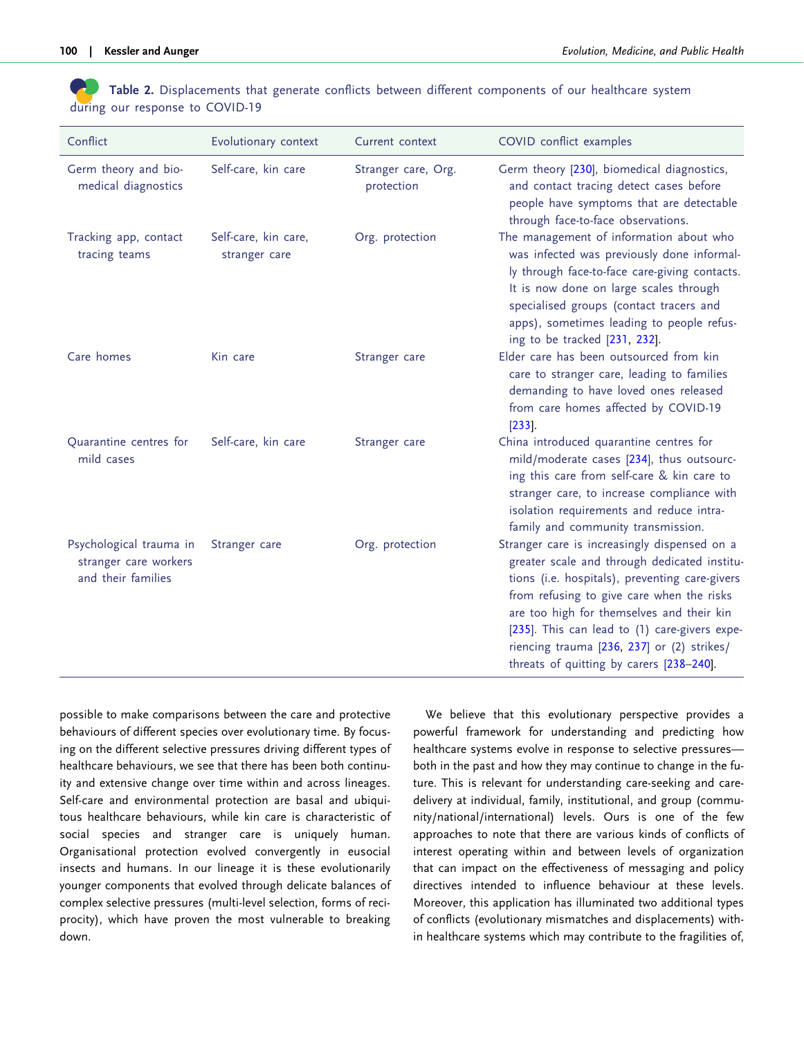<span id="page-13-0"></span>Table 2. Displacements that generate conflicts between different components of our healthcare system during our response to COVID-19

| Conflict                                                               | Evolutionary context                  | Current context                   | COVID conflict examples                                                                                                                                                                                                                                                                                                                                                             |
|------------------------------------------------------------------------|---------------------------------------|-----------------------------------|-------------------------------------------------------------------------------------------------------------------------------------------------------------------------------------------------------------------------------------------------------------------------------------------------------------------------------------------------------------------------------------|
| Germ theory and bio-<br>medical diagnostics                            | Self-care, kin care                   | Stranger care, Org.<br>protection | Germ theory [230], biomedical diagnostics,<br>and contact tracing detect cases before<br>people have symptoms that are detectable<br>through face-to-face observations.                                                                                                                                                                                                             |
| Tracking app, contact<br>tracing teams                                 | Self-care, kin care,<br>stranger care | Org. protection                   | The management of information about who<br>was infected was previously done informal-<br>ly through face-to-face care-giving contacts.<br>It is now done on large scales through<br>specialised groups (contact tracers and<br>apps), sometimes leading to people refus-<br>ing to be tracked [231, 232].                                                                           |
| Care homes                                                             | Kin care                              | Stranger care                     | Elder care has been outsourced from kin<br>care to stranger care, leading to families<br>demanding to have loved ones released<br>from care homes affected by COVID-19<br>$[233]$ .                                                                                                                                                                                                 |
| Quarantine centres for<br>mild cases                                   | Self-care, kin care                   | Stranger care                     | China introduced quarantine centres for<br>mild/moderate cases [234], thus outsourc-<br>ing this care from self-care & kin care to<br>stranger care, to increase compliance with<br>isolation requirements and reduce intra-<br>family and community transmission.                                                                                                                  |
| Psychological trauma in<br>stranger care workers<br>and their families | Stranger care                         | Org. protection                   | Stranger care is increasingly dispensed on a<br>greater scale and through dedicated institu-<br>tions (i.e. hospitals), preventing care-givers<br>from refusing to give care when the risks<br>are too high for themselves and their kin<br>[235]. This can lead to (1) care-givers expe-<br>riencing trauma [236, 237] or (2) strikes/<br>threats of quitting by carers [238-240]. |

possible to make comparisons between the care and protective behaviours of different species over evolutionary time. By focusing on the different selective pressures driving different types of healthcare behaviours, we see that there has been both continuity and extensive change over time within and across lineages. Self-care and environmental protection are basal and ubiquitous healthcare behaviours, while kin care is characteristic of social species and stranger care is uniquely human. Organisational protection evolved convergently in eusocial insects and humans. In our lineage it is these evolutionarily younger components that evolved through delicate balances of complex selective pressures (multi-level selection, forms of reciprocity), which have proven the most vulnerable to breaking down.

We believe that this evolutionary perspective provides a powerful framework for understanding and predicting how healthcare systems evolve in response to selective pressures both in the past and how they may continue to change in the future. This is relevant for understanding care-seeking and caredelivery at individual, family, institutional, and group (community/national/international) levels. Ours is one of the few approaches to note that there are various kinds of conflicts of interest operating within and between levels of organization that can impact on the effectiveness of messaging and policy directives intended to influence behaviour at these levels. Moreover, this application has illuminated two additional types of conflicts (evolutionary mismatches and displacements) within healthcare systems which may contribute to the fragilities of,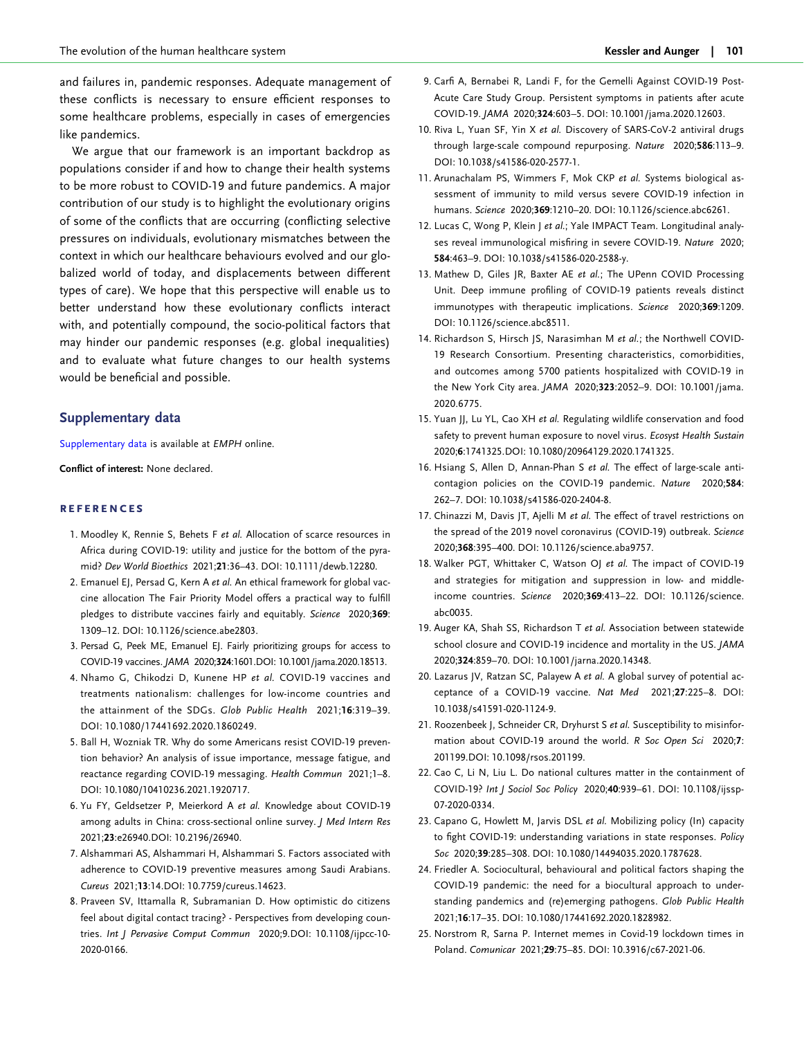<span id="page-14-0"></span>and failures in, pandemic responses. Adequate management of these conflicts is necessary to ensure efficient responses to some healthcare problems, especially in cases of emergencies like pandemics.

We argue that our framework is an important backdrop as populations consider if and how to change their health systems to be more robust to COVID-19 and future pandemics. A major contribution of our study is to highlight the evolutionary origins of some of the conflicts that are occurring (conflicting selective pressures on individuals, evolutionary mismatches between the context in which our healthcare behaviours evolved and our globalized world of today, and displacements between different types of care). We hope that this perspective will enable us to better understand how these evolutionary conflicts interact with, and potentially compound, the socio-political factors that may hinder our pandemic responses (e.g. global inequalities) and to evaluate what future changes to our health systems would be beneficial and possible.

## Supplementary data

[Supplementary data](https://academic.oup.com/emph/article-lookup/doi/10.1093/emph/eoac004#supplementary-data) is available at EMPH online.

Conflict of interest: None declared.

#### **REFERENCES**

- 1. Moodley K, Rennie S, Behets F et al. Allocation of scarce resources in Africa during COVID-19: utility and justice for the bottom of the pyramid? Dev World Bioethics 2021;21:36–43. DOI: 10.1111/dewb.12280.
- 2. Emanuel EJ, Persad G, Kern A et al. An ethical framework for global vaccine allocation The Fair Priority Model offers a practical way to fulfill pledges to distribute vaccines fairly and equitably. Science 2020;369: 1309–12. DOI: 10.1126/science.abe2803.
- 3. Persad G, Peek ME, Emanuel EJ. Fairly prioritizing groups for access to COVID-19 vaccines. JAMA 2020;324:1601.DOI: 10.1001/jama.2020.18513.
- 4. Nhamo G, Chikodzi D, Kunene HP et al. COVID-19 vaccines and treatments nationalism: challenges for low-income countries and the attainment of the SDGs. Glob Public Health 2021;16:319–39. DOI: 10.1080/17441692.2020.1860249.
- [5](#page-1-0). Ball H, Wozniak TR. Why do some Americans resist COVID-19 prevention behavior? An analysis of issue importance, message fatigue, and reactance regarding COVID-19 messaging. Health Commun 2021;1–8. DOI: 10.1080/10410236.2021.1920717.
- 6. Yu FY, Geldsetzer P, Meierkord A et al. Knowledge about COVID-19 among adults in China: cross-sectional online survey. J Med Intern Res 2021;23:e26940.DOI: 10.2196/26940.
- [7](#page-1-0). Alshammari AS, Alshammari H, Alshammari S. Factors associated with adherence to COVID-19 preventive measures among Saudi Arabians. Cureus 2021;13:14.DOI: 10.7759/cureus.14623.
- [8](#page-1-0). Praveen SV, Ittamalla R, Subramanian D. How optimistic do citizens feel about digital contact tracing? - Perspectives from developing countries. Int J Pervasive Comput Commun 2020;9.DOI: 10.1108/ijpcc-10- 2020-0166.
- 9. Carfi A, Bernabei R, Landi F, for the Gemelli Against COVID-19 Post-Acute Care Study Group. Persistent symptoms in patients after acute COVID-19. JAMA 2020;324:603–5. DOI: 10.1001/jama.2020.12603.
- 10. Riva L, Yuan SF, Yin X et al. Discovery of SARS-CoV-2 antiviral drugs through large-scale compound repurposing. Nature 2020;586:113–9. DOI: 10.1038/s41586-020-2577-1.
- 11. Arunachalam PS, Wimmers F, Mok CKP et al. Systems biological assessment of immunity to mild versus severe COVID-19 infection in humans. Science 2020;369:1210–20. DOI: 10.1126/science.abc6261.
- 12. Lucas C, Wong P, Klein J et al.; Yale IMPACT Team. Longitudinal analyses reveal immunological misfiring in severe COVID-19. Nature 2020; 584:463–9. DOI: 10.1038/s41586-020-2588-y.
- 13. Mathew D, Giles JR, Baxter AE et al.; The UPenn COVID Processing Unit. Deep immune profiling of COVID-19 patients reveals distinct immunotypes with therapeutic implications. Science 2020;369:1209. DOI: 10.1126/science.abc8511.
- 14. Richardson S, Hirsch JS, Narasimhan M et al.; the Northwell COVID-19 Research Consortium. Presenting characteristics, comorbidities, and outcomes among 5700 patients hospitalized with COVID-19 in the New York City area. JAMA 2020;323:2052–9. DOI: 10.1001/jama. 2020.6775.
- 15. Yuan JJ, Lu YL, Cao XH et al. Regulating wildlife conservation and food safety to prevent human exposure to novel virus. Ecosyst Health Sustain 2020;6:1741325.DOI: 10.1080/20964129.2020.1741325.
- [16.](#page-4-0) Hsiang S, Allen D, Annan-Phan S et al. The effect of large-scale anticontagion policies on the COVID-19 pandemic. Nature 2020;584: 262–7. DOI: 10.1038/s41586-020-2404-8.
- [17.](#page-4-0) Chinazzi M, Davis JT, Ajelli M et al. The effect of travel restrictions on the spread of the 2019 novel coronavirus (COVID-19) outbreak. Science 2020;368:395–400. DOI: 10.1126/science.aba9757.
- 18. Walker PGT, Whittaker C, Watson OJ et al. The impact of COVID-19 and strategies for mitigation and suppression in low- and middleincome countries. Science 2020;369:413–22. DOI: 10.1126/science. abc0035.
- 19. Auger KA, Shah SS, Richardson T et al. Association between statewide school closure and COVID-19 incidence and mortality in the US. JAMA 2020;324:859–70. DOI: 10.1001/jarna.2020.14348.
- [20.](#page-1-0) Lazarus JV, Ratzan SC, Palayew A et al. A global survey of potential acceptance of a COVID-19 vaccine. Nat Med 2021;27:225–8. DOI: 10.1038/s41591-020-1124-9.
- [21.](#page-1-0) Roozenbeek J, Schneider CR, Dryhurst S et al. Susceptibility to misinformation about COVID-19 around the world. R Soc Open Sci 2020;7: 201199.DOI: 10.1098/rsos.201199.
- 22. Cao C, Li N, Liu L. Do national cultures matter in the containment of COVID-19? Int J Sociol Soc Policy 2020;40:939–61. DOI: 10.1108/ijssp-07-2020-0334.
- [23.](#page-10-0) Capano G, Howlett M, Jarvis DSL et al. Mobilizing policy (In) capacity to fight COVID-19: understanding variations in state responses. Policy Soc 2020;39:285–308. DOI: 10.1080/14494035.2020.1787628.
- 24. Friedler A. Sociocultural, behavioural and political factors shaping the COVID-19 pandemic: the need for a biocultural approach to understanding pandemics and (re)emerging pathogens. Glob Public Health 2021;16:17–35. DOI: 10.1080/17441692.2020.1828982.
- [25.](#page-1-0) Norstrom R, Sarna P. Internet memes in Covid-19 lockdown times in Poland. Comunicar 2021;29:75–85. DOI: 10.3916/c67-2021-06.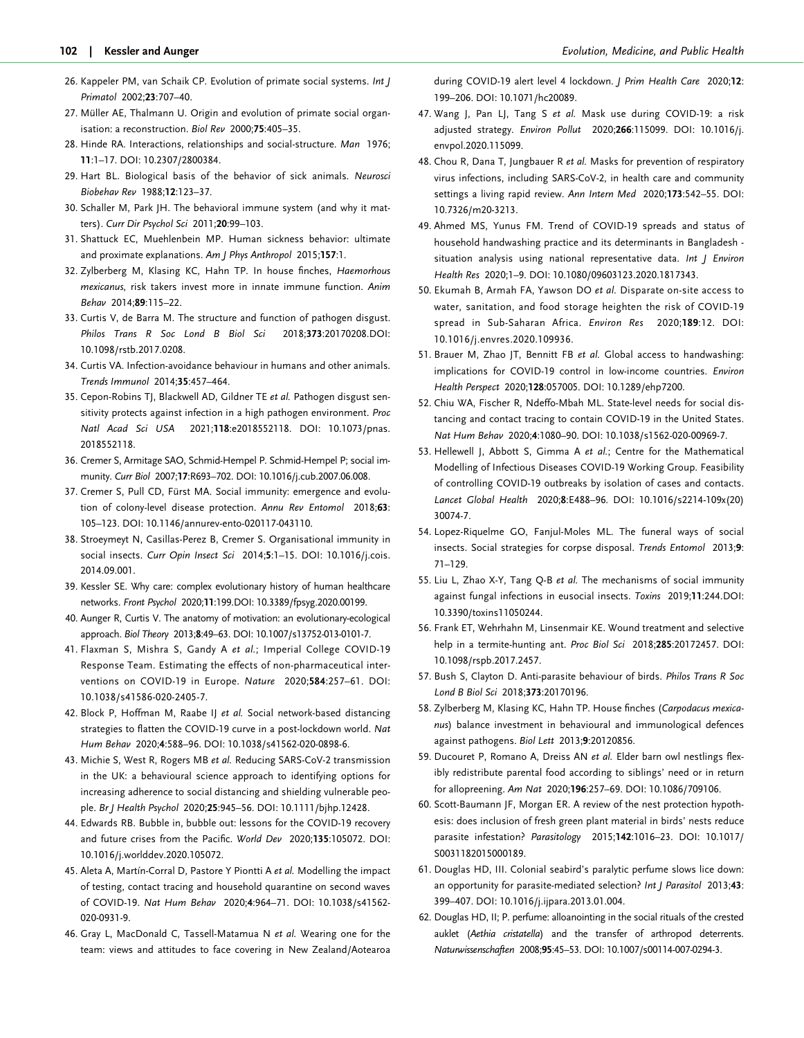- <span id="page-15-0"></span>[26](#page-1-0). Kappeler PM, van Schaik CP. Evolution of primate social systems. Int J Primatol 2002;23:707–40.
- [27](#page-1-0). Müller AE, Thalmann U. Origin and evolution of primate social organisation: a reconstruction. Biol Rev 2000;75:405–35.
- 28. Hinde RA. Interactions, relationships and social-structure. Man 1976; 11:1–17. DOI: 10.2307/2800384.
- [29](#page-2-0). Hart BL. Biological basis of the behavior of sick animals. Neurosci Biobehav Rev 1988;12:123–37.
- [30](#page-2-0). Schaller M, Park JH. The behavioral immune system (and why it matters). Curr Dir Psychol Sci 2011;20:99–103.
- [31](#page-3-0). Shattuck EC, Muehlenbein MP. Human sickness behavior: ultimate and proximate explanations. Am J Phys Anthropol 2015;157:1.
- 32. Zylberberg M, Klasing KC, Hahn TP. In house finches, Haemorhous mexicanus, risk takers invest more in innate immune function. Anim Behav 2014;89:115–22.
- [33](#page-3-0). Curtis V, de Barra M. The structure and function of pathogen disgust. Philos Trans R Soc Lond B Biol Sci 2018;373:20170208.DOI: 10.1098/rstb.2017.0208.
- [34](#page-3-0). Curtis VA. Infection-avoidance behaviour in humans and other animals. Trends Immunol 2014;35:457–464.
- 35. Cepon-Robins TJ, Blackwell AD, Gildner TE et al. Pathogen disgust sensitivity protects against infection in a high pathogen environment. Proc Natl Acad Sci USA 2021;118:e2018552118. DOI: 10.1073/pnas. 2018552118.
- 36. Cremer S, Armitage SAO, Schmid-Hempel P. Schmid-Hempel P; social immunity. Curr Biol 2007;17:R693–702. DOI: 10.1016/j.cub.2007.06.008.
- [37](#page-8-0). Cremer S, Pull CD, Fürst MA. Social immunity: emergence and evolution of colony-level disease protection. Annu Rev Entomol 2018;63: 105–123. DOI: 10.1146/annurev-ento-020117-043110.
- [38](#page-5-0). Stroeymeyt N, Casillas-Perez B, Cremer S. Organisational immunity in social insects. Curr Opin Insect Sci 2014;5:1-15. DOI: 10.1016/j.cois. 2014.09.001.
- [39](#page-2-0). Kessler SE. Why care: complex evolutionary history of human healthcare networks. Front Psychol 2020;11:199.DOI: 10.3389/fpsyg.2020.00199.
- [40](#page-3-0). Aunger R, Curtis V. The anatomy of motivation: an evolutionary-ecological approach. Biol Theory 2013;8:49–63. DOI: 10.1007/s13752-013-0101-7.
- [41](#page-10-0). Flaxman S, Mishra S, Gandy A et al.; Imperial College COVID-19 Response Team. Estimating the effects of non-pharmaceutical interventions on COVID-19 in Europe. Nature 2020;584:257–61. DOI: 10.1038/s41586-020-2405-7.
- [42](#page-10-0). Block P, Hoffman M, Raabe IJ et al. Social network-based distancing strategies to flatten the COVID-19 curve in a post-lockdown world. Nat Hum Behav 2020;4:588–96. DOI: 10.1038/s41562-020-0898-6.
- [43](#page-10-0). Michie S, West R, Rogers MB et al. Reducing SARS-CoV-2 transmission in the UK: a behavioural science approach to identifying options for increasing adherence to social distancing and shielding vulnerable people. Br J Health Psychol 2020;25:945–56. DOI: 10.1111/bjhp.12428.
- [44](#page-10-0). Edwards RB. Bubble in, bubble out: lessons for the COVID-19 recovery and future crises from the Pacific. World Dev 2020;135:105072. DOI: 10.1016/j.worlddev.2020.105072.
- 45. Aleta A, Martín-Corral D, Pastore Y Piontti A et al. Modelling the impact of testing, contact tracing and household quarantine on second waves of COVID-19. Nat Hum Behav 2020;4:964–71. DOI: 10.1038/s41562- 020-0931-9.
- 46. Gray L, MacDonald C, Tassell-Matamua N et al. Wearing one for the team: views and attitudes to face covering in New Zealand/Aotearoa

during COVID-19 alert level 4 lockdown. J Prim Health Care 2020;12: 199–206. DOI: 10.1071/hc20089.

- 47. Wang J, Pan LJ, Tang S et al. Mask use during COVID-19: a risk adjusted strategy. Environ Pollut 2020;266:115099. DOI: 10.1016/j. envpol.2020.115099.
- 48. Chou R, Dana T, Jungbauer R et al. Masks for prevention of respiratory virus infections, including SARS-CoV-2, in health care and community settings a living rapid review. Ann Intern Med 2020;173:542–55. DOI: 10.7326/m20-3213.
- 49. Ahmed MS, Yunus FM. Trend of COVID-19 spreads and status of household handwashing practice and its determinants in Bangladesh situation analysis using national representative data. Int J Environ Health Res 2020;1–9. DOI: 10.1080/09603123.2020.1817343.
- 50. Ekumah B, Armah FA, Yawson DO et al. Disparate on-site access to water, sanitation, and food storage heighten the risk of COVID-19 spread in Sub-Saharan Africa. Environ Res 2020;189:12. DOI: 10.1016/j.envres.2020.109936.
- 51. Brauer M, Zhao JT, Bennitt FB et al. Global access to handwashing: implications for COVID-19 control in low-income countries. Environ Health Perspect 2020;128:057005. DOI: 10.1289/ehp7200.
- 52. Chiu WA, Fischer R, Ndeffo-Mbah ML. State-level needs for social distancing and contact tracing to contain COVID-19 in the United States. Nat Hum Behav 2020;4:1080–90. DOI: 10.1038/s1562-020-00969-7.
- 53. Hellewell J, Abbott S, Gimma A et al.; Centre for the Mathematical Modelling of Infectious Diseases COVID-19 Working Group. Feasibility of controlling COVID-19 outbreaks by isolation of cases and contacts. Lancet Global Health 2020;8:E488–96. DOI: 10.1016/s2214-109x(20) 30074-7.
- [54.](#page-3-0) Lopez-Riquelme GO, Fanjul-Moles ML. The funeral ways of social insects. Social strategies for corpse disposal. Trends Entomol 2013;9: 71–129.
- [55.](#page-3-0) Liu L, Zhao X-Y, Tang Q-B et al. The mechanisms of social immunity against fungal infections in eusocial insects. Toxins 2019;11:244.DOI: 10.3390/toxins11050244.
- [56.](#page-8-0) Frank ET, Wehrhahn M, Linsenmair KE. Wound treatment and selective help in a termite-hunting ant. Proc Biol Sci 2018;285:20172457. DOI: 10.1098/rspb.2017.2457.
- [57.](#page-3-0) Bush S, Clayton D. Anti-parasite behaviour of birds. Philos Trans R Soc Lond B Biol Sci 2018;373:20170196.
- [58.](#page-3-0) Zylberberg M, Klasing KC, Hahn TP. House finches (Carpodacus mexicanus) balance investment in behavioural and immunological defences against pathogens. Biol Lett 2013;9:20120856.
- [59.](#page-5-0) Ducouret P, Romano A, Dreiss AN et al. Elder barn owl nestlings flexibly redistribute parental food according to siblings' need or in return for allopreening. Am Nat 2020;196:257–69. DOI: 10.1086/709106.
- [60.](#page-7-0) Scott-Baumann JF, Morgan ER. A review of the nest protection hypothesis: does inclusion of fresh green plant material in birds' nests reduce parasite infestation? Parasitology 2015;142:1016–23. DOI: 10.1017/ S0031182015000189.
- 61. Douglas HD, III. Colonial seabird's paralytic perfume slows lice down: an opportunity for parasite-mediated selection? Int J Parasitol 2013;43: 399–407. DOI: 10.1016/j.ijpara.2013.01.004.
- 62. Douglas HD, II; P. perfume: alloanointing in the social rituals of the crested auklet (Aethia cristatella) and the transfer of arthropod deterrents. Naturwissenschaften 2008;95:45–53. DOI: 10.1007/s00114-007-0294-3.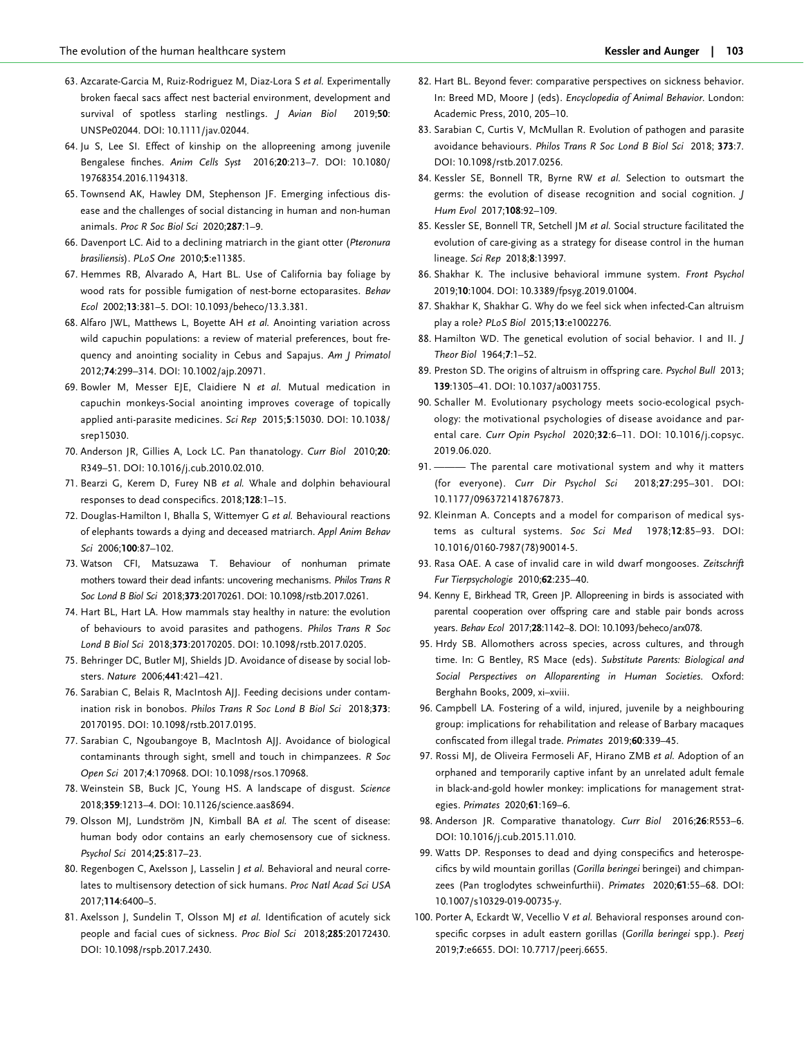- <span id="page-16-0"></span>63. Azcarate-Garcia M, Ruiz-Rodriguez M, Diaz-Lora S et al. Experimentally broken faecal sacs affect nest bacterial environment, development and survival of spotless starling nestlings. J Avian Biol 2019;50: UNSPe02044. DOI: 10.1111/jav.02044.
- 64. Ju S, Lee SI. Effect of kinship on the allopreening among juvenile Bengalese finches. Anim Cells Syst 2016;20:213–7. DOI: 10.1080/ 19768354.2016.1194318.
- [65](#page-3-0). Townsend AK, Hawley DM, Stephenson JF. Emerging infectious disease and the challenges of social distancing in human and non-human animals. Proc R Soc Biol Sci 2020;287:1–9.
- [66](#page-5-0). Davenport LC. Aid to a declining matriarch in the giant otter (Pteronura brasiliensis). PLoS One 2010;5:e11385.
- [67](#page-7-0). Hemmes RB, Alvarado A, Hart BL. Use of California bay foliage by wood rats for possible fumigation of nest-borne ectoparasites. Behav Ecol 2002;13:381–5. DOI: 10.1093/beheco/13.3.381.
- 68. Alfaro JWL, Matthews L, Boyette AH et al. Anointing variation across wild capuchin populations: a review of material preferences, bout frequency and anointing sociality in Cebus and Sapajus. Am J Primatol 2012;74:299–314. DOI: 10.1002/ajp.20971.
- 69. Bowler M, Messer EJE, Claidiere N et al. Mutual medication in capuchin monkeys-Social anointing improves coverage of topically applied anti-parasite medicines. Sci Rep 2015;5:15030. DOI: 10.1038/ srep15030.
- 70. Anderson JR, Gillies A, Lock LC. Pan thanatology. Curr Biol 2010;20: R349–51. DOI: 10.1016/j.cub.2010.02.010.
- 71. Bearzi G, Kerem D, Furey NB et al. Whale and dolphin behavioural responses to dead conspecifics. 2018;128:1–15.
- 72. Douglas-Hamilton I, Bhalla S, Wittemyer G et al. Behavioural reactions of elephants towards a dying and deceased matriarch. Appl Anim Behav Sci 2006;100:87–102.
- [73](#page-5-0). Watson CFI, Matsuzawa T. Behaviour of nonhuman primate mothers toward their dead infants: uncovering mechanisms. Philos Trans R Soc Lond B Biol Sci 2018;373:20170261. DOI: 10.1098/rstb.2017.0261.
- [74](#page-3-0). Hart BL, Hart LA. How mammals stay healthy in nature: the evolution of behaviours to avoid parasites and pathogens. Philos Trans R Soc Lond B Biol Sci 2018;373:20170205. DOI: 10.1098/rstb.2017.0205.
- [75](#page-3-0). Behringer DC, Butler MJ, Shields JD. Avoidance of disease by social lobsters. Nature 2006;441:421–421.
- [76](#page-3-0). Sarabian C, Belais R, MacIntosh AJJ. Feeding decisions under contamination risk in bonobos. Philos Trans R Soc Lond B Biol Sci 2018;373: 20170195. DOI: 10.1098/rstb.2017.0195.
- [77](#page-3-0). Sarabian C, Ngoubangoye B, MacIntosh AJJ. Avoidance of biological contaminants through sight, smell and touch in chimpanzees. R Soc Open Sci 2017;4:170968. DOI: 10.1098/rsos.170968.
- [78](#page-3-0). Weinstein SB, Buck JC, Young HS. A landscape of disgust. Science 2018;359:1213–4. DOI: 10.1126/science.aas8694.
- [79](#page-3-0). Olsson MJ, Lundström JN, Kimball BA et al. The scent of disease: human body odor contains an early chemosensory cue of sickness. Psychol Sci 2014;25:817–23.
- [80](#page-3-0). Regenbogen C, Axelsson J, Lasselin J et al. Behavioral and neural correlates to multisensory detection of sick humans. Proc Natl Acad Sci USA 2017;114:6400–5.
- [81](#page-3-0). Axelsson J, Sundelin T, Olsson MJ et al. Identification of acutely sick people and facial cues of sickness. Proc Biol Sci 2018;285:20172430. DOI: 10.1098/rspb.2017.2430.
- [82.](#page-3-0) Hart BL. Beyond fever: comparative perspectives on sickness behavior. In: Breed MD, Moore J (eds). Encyclopedia of Animal Behavior. London: Academic Press, 2010, 205–10.
- [83.](#page-3-0) Sarabian C, Curtis V, McMullan R. Evolution of pathogen and parasite avoidance behaviours. Philos Trans R Soc Lond B Biol Sci 2018; 373:7. DOI: 10.1098/rstb.2017.0256.
- 84. Kessler SE, Bonnell TR, Byrne RW et al. Selection to outsmart the germs: the evolution of disease recognition and social cognition. J Hum Evol 2017;108:92–109.
- [85.](#page-6-0) Kessler SE, Bonnell TR, Setchell JM et al. Social structure facilitated the evolution of care-giving as a strategy for disease control in the human lineage. Sci Rep 2018;8:13997.
- 86. Shakhar K. The inclusive behavioral immune system. Front Psychol 2019;10:1004. DOI: 10.3389/fpsyg.2019.01004.
- 87. Shakhar K, Shakhar G. Why do we feel sick when infected-Can altruism play a role? PLoS Biol 2015;13:e1002276.
- [88.](#page-6-0) Hamilton WD. The genetical evolution of social behavior. I and II. / Theor Biol 1964;7:1–52.
- [89.](#page-5-0) Preston SD. The origins of altruism in offspring care. Psychol Bull 2013; 139:1305–41. DOI: 10.1037/a0031755.
- 90. Schaller M. Evolutionary psychology meets socio-ecological psychology: the motivational psychologies of disease avoidance and parental care. Curr Opin Psychol 2020;32:6–11. DOI: 10.1016/j.copsyc. 2019.06.020.
- [91.](#page-5-0) ——— The parental care motivational system and why it matters (for everyone). Curr Dir Psychol Sci 2018;27:295–301. DOI: 10.1177/0963721418767873.
- [92.](#page-5-0) Kleinman A. Concepts and a model for comparison of medical systems as cultural systems. Soc Sci Med 1978;12:85–93. DOI: 10.1016/0160-7987(78)90014-5.
- [93.](#page-5-0) Rasa OAE. A case of invalid care in wild dwarf mongooses. Zeitschrift Fur Tierpsychologie 2010;62:235–40.
- [94.](#page-5-0) Kenny E, Birkhead TR, Green JP. Allopreening in birds is associated with parental cooperation over offspring care and stable pair bonds across years. Behav Ecol 2017;28:1142–8. DOI: 10.1093/beheco/arx078.
- [95.](#page-5-0) Hrdy SB. Allomothers across species, across cultures, and through time. In: G Bentley, RS Mace (eds). Substitute Parents: Biological and Social Perspectives on Alloparenting in Human Societies. Oxford: Berghahn Books, 2009, xi–xviii.
- [96.](#page-5-0) Campbell LA. Fostering of a wild, injured, juvenile by a neighbouring group: implications for rehabilitation and release of Barbary macaques confiscated from illegal trade. Primates 2019;60:339–45.
- [97.](#page-5-0) Rossi MJ, de Oliveira Fermoseli AF, Hirano ZMB et al. Adoption of an orphaned and temporarily captive infant by an unrelated adult female in black-and-gold howler monkey: implications for management strategies. Primates 2020;61:169–6.
- 98. Anderson JR. Comparative thanatology. Curr Biol 2016;26:R553-6. DOI: 10.1016/j.cub.2015.11.010.
- 99. Watts DP. Responses to dead and dying conspecifics and heterospecifics by wild mountain gorillas (Gorilla beringei beringei) and chimpanzees (Pan troglodytes schweinfurthii). Primates 2020;61:55–68. DOI: 10.1007/s10329-019-00735-y.
- 100. Porter A, Eckardt W, Vecellio V et al. Behavioral responses around conspecific corpses in adult eastern gorillas (Gorilla beringei spp.). Peerj 2019;7:e6655. DOI: 10.7717/peerj.6655.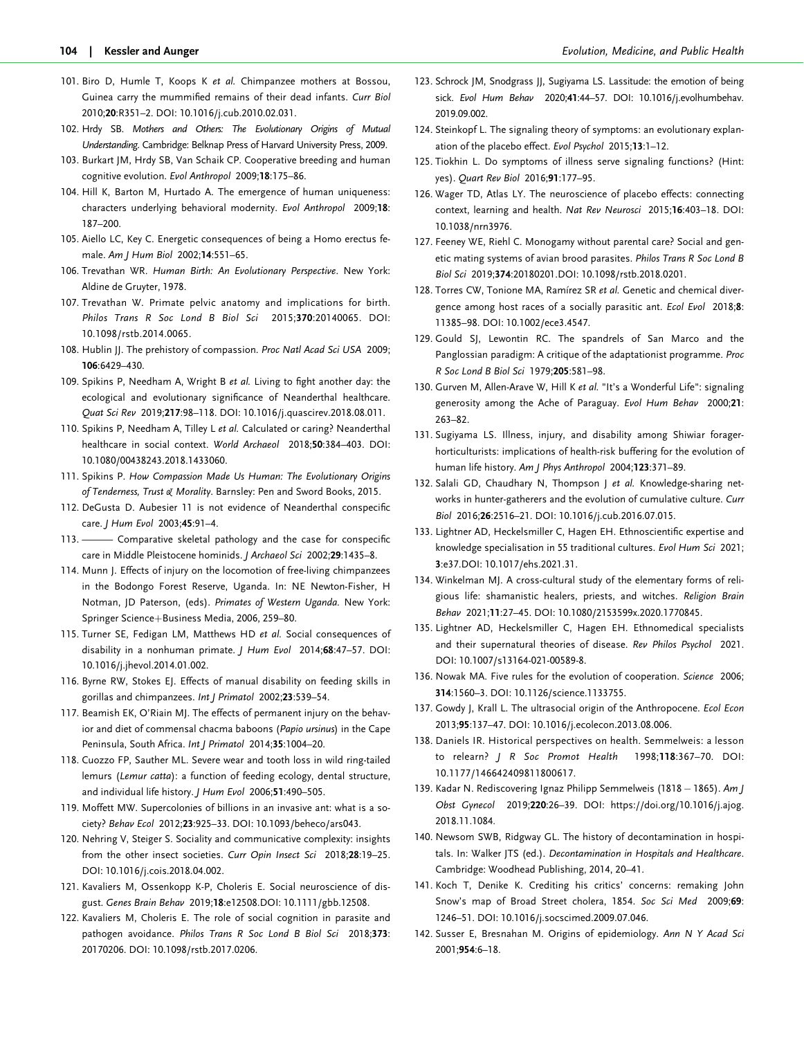- <span id="page-17-0"></span>101. Biro D, Humle T, Koops K et al. Chimpanzee mothers at Bossou, Guinea carry the mummified remains of their dead infants. Curr Biol 2010;20:R351–2. DOI: 10.1016/j.cub.2010.02.031.
- 102. Hrdy SB. Mothers and Others: The Evolutionary Origins of Mutual Understanding. Cambridge: Belknap Press of Harvard University Press, 2009.
- 103. Burkart JM, Hrdy SB, Van Schaik CP. Cooperative breeding and human cognitive evolution. Evol Anthropol 2009;18:175–86.
- 104. Hill K, Barton M, Hurtado A. The emergence of human uniqueness: characters underlying behavioral modernity. Evol Anthropol 2009;18: 187–200.
- [105](#page-5-0). Aiello LC, Key C. Energetic consequences of being a Homo erectus female. Am J Hum Biol 2002;14:551–65.
- [106](#page-5-0). Trevathan WR. Human Birth: An Evolutionary Perspective. New York: Aldine de Gruyter, 1978.
- [107](#page-5-0). Trevathan W. Primate pelvic anatomy and implications for birth. Philos Trans R Soc Lond B Biol Sci 2015;370:20140065. DOI: 10.1098/rstb.2014.0065.
- 108. Hublin JJ. The prehistory of compassion. Proc Natl Acad Sci USA 2009; 106:6429–430.
- 109. Spikins P, Needham A, Wright B et al. Living to fight another day: the ecological and evolutionary significance of Neanderthal healthcare. Quat Sci Rev 2019;217:98–118. DOI: 10.1016/j.quascirev.2018.08.011.
- 110. Spikins P, Needham A, Tilley L et al. Calculated or caring? Neanderthal healthcare in social context. World Archaeol 2018;50:384–403. DOI: 10.1080/00438243.2018.1433060.
- 111. Spikins P. How Compassion Made Us Human: The Evolutionary Origins of Tenderness, Trust & Morality. Barnsley: Pen and Sword Books, 2015.
- 112. DeGusta D. Aubesier 11 is not evidence of Neanderthal conspecific care. J Hum Evol 2003;45:91-4.
- 113. ———— Comparative skeletal pathology and the case for conspecific care in Middle Pleistocene hominids. J Archaeol Sci 2002;29:1435–8.
- 114. Munn J. Effects of injury on the locomotion of free-living chimpanzees in the Bodongo Forest Reserve, Uganda. In: NE Newton-Fisher, H Notman, JD Paterson, (eds). Primates of Western Uganda. New York: Springer Science+Business Media, 2006, 259–80.
- 115. Turner SE, Fedigan LM, Matthews HD et al. Social consequences of disability in a nonhuman primate. J Hum Evol 2014;68:47–57. DOI: 10.1016/j.jhevol.2014.01.002.
- 116. Byrne RW, Stokes EJ. Effects of manual disability on feeding skills in gorillas and chimpanzees. Int J Primatol 2002;23:539–54.
- 117. Beamish EK, O'Riain MJ. The effects of permanent injury on the behavior and diet of commensal chacma baboons (Papio ursinus) in the Cape Peninsula, South Africa. Int J Primatol 2014;35:1004–20.
- 118. Cuozzo FP, Sauther ML. Severe wear and tooth loss in wild ring-tailed lemurs (Lemur catta): a function of feeding ecology, dental structure, and individual life history. J Hum Evol 2006;51:490-505.
- [119](#page-5-0). Moffett MW. Supercolonies of billions in an invasive ant: what is a society? Behav Ecol 2012;23:925–33. DOI: 10.1093/beheco/ars043.
- [120](#page-5-0). Nehring V, Steiger S. Sociality and communicative complexity: insights from the other insect societies. Curr Opin Insect Sci 2018;28:19–25. DOI: 10.1016/j.cois.2018.04.002.
- 121. Kavaliers M, Ossenkopp K-P, Choleris E. Social neuroscience of disgust. Genes Brain Behav 2019;18:e12508.DOI: 10.1111/gbb.12508.
- 122. Kavaliers M, Choleris E. The role of social cognition in parasite and pathogen avoidance. Philos Trans R Soc Lond B Biol Sci 2018;373: 20170206. DOI: 10.1098/rstb.2017.0206.
- [123.](#page-5-0) Schrock JM, Snodgrass JJ, Sugiyama LS. Lassitude: the emotion of being sick. Evol Hum Behav 2020;41:44–57. DOI: 10.1016/j.evolhumbehav. 2019.09.002.
- 124. Steinkopf L. The signaling theory of symptoms: an evolutionary explanation of the placebo effect. Evol Psychol 2015;13:1–12.
- 125. Tiokhin L. Do symptoms of illness serve signaling functions? (Hint: yes). Quart Rev Biol 2016;91:177–95.
- 126. Wager TD, Atlas LY. The neuroscience of placebo effects: connecting context, learning and health. Nat Rev Neurosci 2015;16:403–18. DOI: 10.1038/nrn3976.
- [127.](#page-6-0) Feeney WE, Riehl C. Monogamy without parental care? Social and genetic mating systems of avian brood parasites. Philos Trans R Soc Lond B Biol Sci 2019;374:20180201.DOI: 10.1098/rstb.2018.0201.
- [128.](#page-6-0) Torres CW, Tonione MA, Ramírez SR et al. Genetic and chemical divergence among host races of a socially parasitic ant. Ecol Evol 2018;8: 11385–98. DOI: 10.1002/ece3.4547.
- [129.](#page-6-0) Gould SJ, Lewontin RC. The spandrels of San Marco and the Panglossian paradigm: A critique of the adaptationist programme. Proc R Soc Lond B Biol Sci 1979;205:581–98.
- [130.](#page-6-0) Gurven M, Allen-Arave W, Hill K et al. "It's a Wonderful Life": signaling generosity among the Ache of Paraguay. Evol Hum Behav 2000;21: 263–82.
- [131.](#page-6-0) Sugiyama LS. Illness, injury, and disability among Shiwiar foragerhorticulturists: implications of health-risk buffering for the evolution of human life history. Am J Phys Anthropol 2004;123:371-89.
- [132.](#page-6-0) Salali GD, Chaudhary N, Thompson J et al. Knowledge-sharing networks in hunter-gatherers and the evolution of cumulative culture. Curr Biol 2016;26:2516–21. DOI: 10.1016/j.cub.2016.07.015.
- [133.](#page-6-0) Lightner AD, Heckelsmiller C, Hagen EH. Ethnoscientific expertise and knowledge specialisation in 55 traditional cultures. Evol Hum Sci 2021; 3:e37.DOI: 10.1017/ehs.2021.31.
- [134.](#page-6-0) Winkelman MJ. A cross-cultural study of the elementary forms of religious life: shamanistic healers, priests, and witches. Religion Brain Behav 2021;11:27–45. DOI: 10.1080/2153599x.2020.1770845.
- [135.](#page-6-0) Lightner AD, Heckelsmiller C, Hagen EH. Ethnomedical specialists and their supernatural theories of disease. Rev Philos Psychol 2021. DOI: 10.1007/s13164-021-00589-8.
- [136.](#page-6-0) Nowak MA. Five rules for the evolution of cooperation. Science 2006; 314:1560–3. DOI: 10.1126/science.1133755.
- [137.](#page-6-0) Gowdy J, Krall L. The ultrasocial origin of the Anthropocene. Ecol Econ 2013;95:137–47. DOI: 10.1016/j.ecolecon.2013.08.006.
- 138. Daniels IR. Historical perspectives on health. Semmelweis: a lesson to relearn? J R Soc Promot Health 1998;118:367–70. DOI: 10.1177/146642409811800617.
- 139. Kadar N. Rediscovering Ignaz Philipp Semmelweis (1818 1865). Am J Obst Gynecol 2019;220:26–39. DOI: [https://doi.org/10.1016/j.ajog.](https://doi.org/10.1016/j.ajog.2018.11.1084) [2018.11.1084.](https://doi.org/10.1016/j.ajog.2018.11.1084)
- 140. Newsom SWB, Ridgway GL. The history of decontamination in hospitals. In: Walker JTS (ed.). Decontamination in Hospitals and Healthcare. Cambridge: Woodhead Publishing, 2014, 20–41.
- [141.](#page-7-0) Koch T, Denike K. Crediting his critics' concerns: remaking John Snow's map of Broad Street cholera, 1854. Soc Sci Med 2009;69: 1246–51. DOI: 10.1016/j.socscimed.2009.07.046.
- [142.](#page-7-0) Susser E, Bresnahan M. Origins of epidemiology. Ann N Y Acad Sci 2001;954:6–18.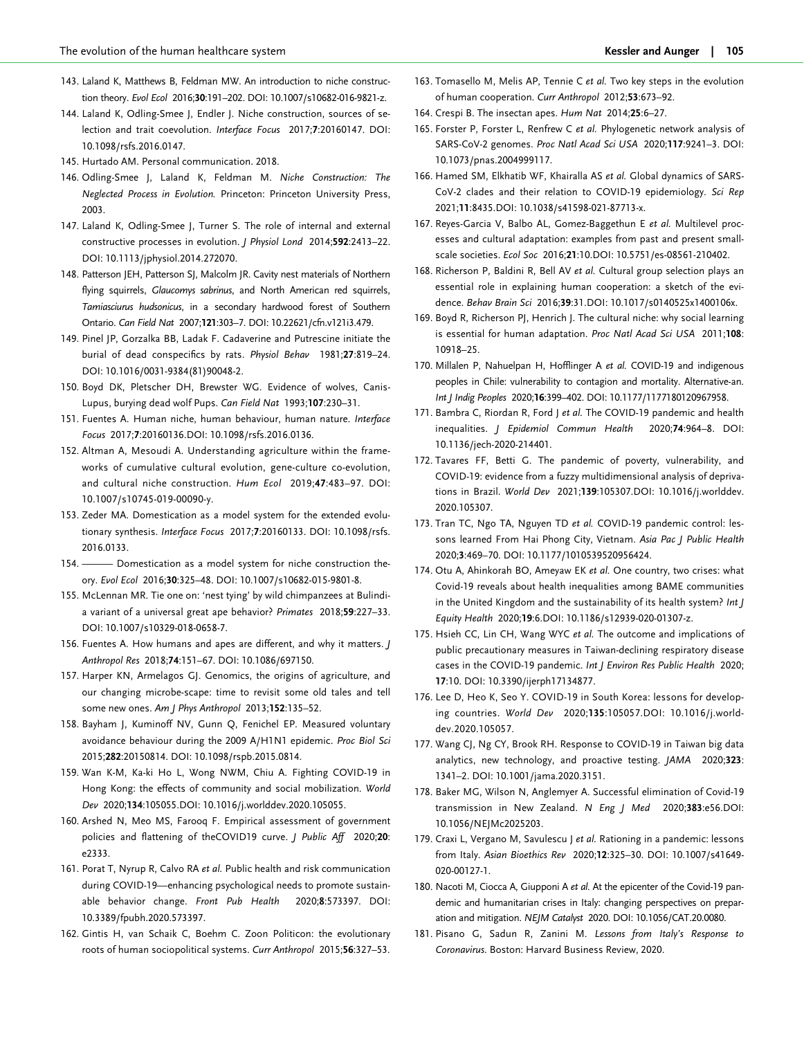- <span id="page-18-0"></span>[143](#page-8-0). Laland K, Matthews B, Feldman MW. An introduction to niche construction theory. Evol Ecol 2016;30:191–202. DOI: 10.1007/s10682-016-9821-z.
- [144](#page-8-0). Laland K, Odling-Smee J, Endler J. Niche construction, sources of selection and trait coevolution. Interface Focus 2017;7:20160147. DOI: 10.1098/rsfs.2016.0147.
- 145. Hurtado AM. Personal communication. 2018.
- [146](#page-7-0). Odling-Smee J, Laland K, Feldman M. Niche Construction: The Neglected Process in Evolution. Princeton: Princeton University Press, 2003.
- [147](#page-7-0). Laland K, Odling-Smee J, Turner S. The role of internal and external constructive processes in evolution. J Physiol Lond 2014;592:2413–22. DOI: 10.1113/jphysiol.2014.272070.
- [148](#page-7-0). Patterson JEH, Patterson SJ, Malcolm JR. Cavity nest materials of Northern flying squirrels, Glaucomys sabrinus, and North American red squirrels, Tamiasciurus hudsonicus, in a secondary hardwood forest of Southern Ontario. Can Field Nat 2007;121:303–7. DOI: 10.22621/cfn.v121i3.479.
- [149](#page-7-0). Pinel JP, Gorzalka BB, Ladak F. Cadaverine and Putrescine initiate the burial of dead conspecifics by rats. Physiol Behav 1981;27:819–24. DOI: 10.1016/0031-9384(81)90048-2.
- [150](#page-7-0). Boyd DK, Pletscher DH, Brewster WG. Evidence of wolves, Canis-Lupus, burying dead wolf Pups. Can Field Nat 1993;107:230–31.
- [151](#page-7-0). Fuentes A. Human niche, human behaviour, human nature. Interface Focus 2017;7:20160136.DOI: 10.1098/rsfs.2016.0136.
- [152](#page-7-0). Altman A, Mesoudi A. Understanding agriculture within the frameworks of cumulative cultural evolution, gene-culture co-evolution, and cultural niche construction. Hum Ecol 2019;47:483–97. DOI: 10.1007/s10745-019-00090-y.
- [153](#page-7-0). Zeder MA. Domestication as a model system for the extended evolutionary synthesis. Interface Focus 2017;7:20160133. DOI: 10.1098/rsfs. 2016.0133.
- [154](#page-7-0). ——— Domestication as a model system for niche construction theory. Evol Ecol 2016;30:325–48. DOI: 10.1007/s10682-015-9801-8.
- [155](#page-7-0). McLennan MR. Tie one on: 'nest tying' by wild chimpanzees at Bulindia variant of a universal great ape behavior? Primates 2018;59:227–33. DOI: 10.1007/s10329-018-0658-7.
- [156](#page-7-0). Fuentes A. How humans and apes are different, and why it matters. *J* Anthropol Res 2018;74:151–67. DOI: 10.1086/697150.
- [157](#page-8-0). Harper KN, Armelagos GJ. Genomics, the origins of agriculture, and our changing microbe-scape: time to revisit some old tales and tell some new ones. Am J Phys Anthropol 2013;152:135-52.
- [158](#page-8-0). Bayham J, Kuminoff NV, Gunn Q, Fenichel EP. Measured voluntary avoidance behaviour during the 2009 A/H1N1 epidemic. Proc Biol Sci 2015;282:20150814. DOI: 10.1098/rspb.2015.0814.
- [159](#page-8-0). Wan K-M, Ka-ki Ho L, Wong NWM, Chiu A. Fighting COVID-19 in Hong Kong: the effects of community and social mobilization. World Dev 2020;134:105055.DOI: 10.1016/j.worlddev.2020.105055.
- [160](#page-8-0). Arshed N, Meo MS, Farooq F. Empirical assessment of government policies and flattening of theCOVID19 curve. J Public Aff 2020;20: e2333.
- [161](#page-8-0). Porat T, Nyrup R, Calvo RA et al. Public health and risk communication during COVID-19—enhancing psychological needs to promote sustainable behavior change. Front Pub Health 2020;8:573397. DOI: 10.3389/fpubh.2020.573397.
- [162](#page-8-0). Gintis H, van Schaik C, Boehm C. Zoon Politicon: the evolutionary roots of human sociopolitical systems. Curr Anthropol 2015;56:327–53.
- [163.](#page-8-0) Tomasello M, Melis AP, Tennie C et al. Two key steps in the evolution of human cooperation. Curr Anthropol 2012;53:673–92.
- [164.](#page-9-0) Crespi B. The insectan apes. Hum Nat 2014;25:6–27.
- [165.](#page-10-0) Forster P, Forster L, Renfrew C et al. Phylogenetic network analysis of SARS-CoV-2 genomes. Proc Natl Acad Sci USA 2020;117:9241–3. DOI: 10.1073/pnas.2004999117.
- [166.](#page-10-0) Hamed SM, Elkhatib WF, Khairalla AS et al. Global dynamics of SARS-CoV-2 clades and their relation to COVID-19 epidemiology. Sci Rep 2021;11:8435.DOI: 10.1038/s41598-021-87713-x.
- 167. Reyes-Garcia V, Balbo AL, Gomez-Baggethun E et al. Multilevel processes and cultural adaptation: examples from past and present smallscale societies. Ecol Soc 2016;21:10.DOI: 10.5751/es-08561-210402.
- 168. Richerson P, Baldini R, Bell AV et al. Cultural group selection plays an essential role in explaining human cooperation: a sketch of the evidence. Behav Brain Sci 2016;39:31.DOI: 10.1017/s0140525x1400106x.
- 169. Boyd R, Richerson PJ, Henrich J. The cultural niche: why social learning is essential for human adaptation. Proc Natl Acad Sci USA 2011;108: 10918–25.
- [170.](#page-10-0) Millalen P, Nahuelpan H, Hofflinger A et al. COVID-19 and indigenous peoples in Chile: vulnerability to contagion and mortality. Alternative-an. Int J Indig Peoples 2020;16:399–402. DOI: 10.1177/1177180120967958.
- [171.](#page-10-0) Bambra C, Riordan R, Ford J et al. The COVID-19 pandemic and health inequalities. J Epidemiol Commun Health 2020;74:964–8. DOI: 10.1136/jech-2020-214401.
- [172.](#page-10-0) Tavares FF, Betti G. The pandemic of poverty, vulnerability, and COVID-19: evidence from a fuzzy multidimensional analysis of deprivations in Brazil. World Dev 2021;139:105307.DOI: 10.1016/j.worlddev. 2020.105307.
- [173.](#page-10-0) Tran TC, Ngo TA, Nguyen TD et al. COVID-19 pandemic control: lessons learned From Hai Phong City, Vietnam. Asia Pac J Public Health 2020;3:469–70. DOI: 10.1177/1010539520956424.
- [174.](#page-10-0) Otu A, Ahinkorah BO, Ameyaw EK et al. One country, two crises: what Covid-19 reveals about health inequalities among BAME communities in the United Kingdom and the sustainability of its health system? Int J Equity Health 2020;19:6.DOI: 10.1186/s12939-020-01307-z.
- 175. Hsieh CC, Lin CH, Wang WYC et al. The outcome and implications of public precautionary measures in Taiwan-declining respiratory disease cases in the COVID-19 pandemic. Int J Environ Res Public Health 2020; 17:10. DOI: 10.3390/ijerph17134877.
- 176. Lee D, Heo K, Seo Y. COVID-19 in South Korea: lessons for developing countries. World Dev 2020;135:105057.DOI: 10.1016/j.worlddev.2020.105057.
- 177. Wang CJ, Ng CY, Brook RH. Response to COVID-19 in Taiwan big data analytics, new technology, and proactive testing. JAMA 2020;323: 1341–2. DOI: 10.1001/jama.2020.3151.
- [178.](#page-10-0) Baker MG, Wilson N, Anglemyer A. Successful elimination of Covid-19 transmission in New Zealand. N Eng J Med 2020;383:e56.DOI: 10.1056/NEJMc2025203.
- 179. Craxi L, Vergano M, Savulescu J et al. Rationing in a pandemic: lessons from Italy. Asian Bioethics Rev 2020;12:325–30. DOI: 10.1007/s41649- 020-00127-1.
- 180. Nacoti M, Ciocca A, Giupponi A et al. At the epicenter of the Covid-19 pandemic and humanitarian crises in Italy: changing perspectives on preparation and mitigation. NEJM Catalyst 2020. DOI: 10.1056/CAT.20.0080.
- 181. Pisano G, Sadun R, Zanini M. Lessons from Italy's Response to Coronavirus. Boston: Harvard Business Review, 2020.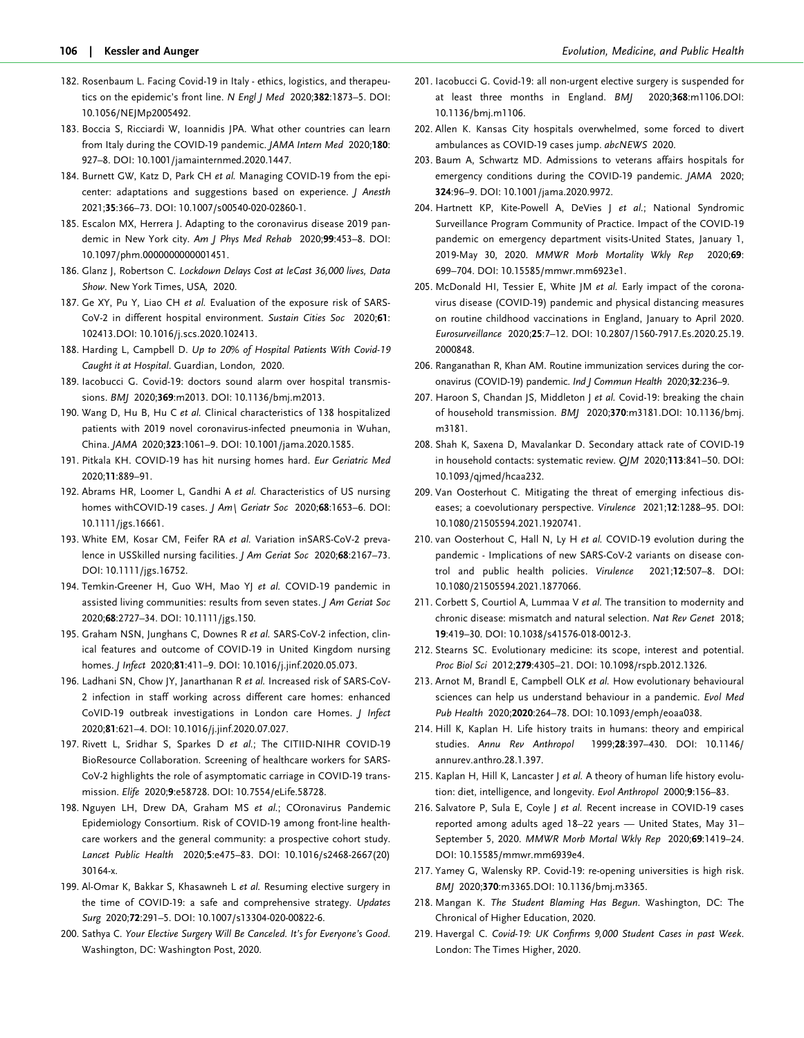- <span id="page-19-0"></span>182. Rosenbaum L. Facing Covid-19 in Italy - ethics, logistics, and therapeutics on the epidemic's front line. N Engl J Med 2020;382:1873–5. DOI: 10.1056/NEJMp2005492.
- 183. Boccia S, Ricciardi W, Ioannidis JPA. What other countries can learn from Italy during the COVID-19 pandemic. JAMA Intern Med 2020;180: 927–8. DOI: 10.1001/jamainternmed.2020.1447.
- 184. Burnett GW, Katz D, Park CH et al. Managing COVID-19 from the epicenter: adaptations and suggestions based on experience. J Anesth 2021;35:366–73. DOI: 10.1007/s00540-020-02860-1.
- 185. Escalon MX, Herrera J. Adapting to the coronavirus disease 2019 pandemic in New York city. Am J Phys Med Rehab 2020;99:453–8. DOI: 10.1097/phm.0000000000001451.
- 186. Glanz J, Robertson C. Lockdown Delays Cost at leCast 36,000 lives, Data Show. New York Times, USA, 2020.
- [187](#page-10-0). Ge XY, Pu Y, Liao CH et al. Evaluation of the exposure risk of SARS-CoV-2 in different hospital environment. Sustain Cities Soc 2020;61: 102413.DOI: 10.1016/j.scs.2020.102413.
- 188. Harding L, Campbell D. Up to 20% of Hospital Patients With Covid-19 Caught it at Hospital. Guardian, London, 2020.
- 189. Iacobucci G. Covid-19: doctors sound alarm over hospital transmissions. BMJ 2020;369:m2013. DOI: 10.1136/bmj.m2013.
- 190. Wang D, Hu B, Hu C et al. Clinical characteristics of 138 hospitalized patients with 2019 novel coronavirus-infected pneumonia in Wuhan, China. JAMA 2020;323:1061–9. DOI: 10.1001/jama.2020.1585.
- 191. Pitkala KH. COVID-19 has hit nursing homes hard. Eur Geriatric Med 2020;11:889–91.
- 192. Abrams HR, Loomer L, Gandhi A et al. Characteristics of US nursing homes withCOVID-19 cases. J Am\ Geriatr Soc 2020;68:1653-6. DOI: 10.1111/jgs.16661.
- 193. White EM, Kosar CM, Feifer RA et al. Variation inSARS-CoV-2 prevalence in USSkilled nursing facilities. J Am Geriat Soc 2020;68:2167–73. DOI: 10.1111/jgs.16752.
- 194. Temkin-Greener H, Guo WH, Mao YJ et al. COVID-19 pandemic in assisted living communities: results from seven states. J Am Geriat Soc 2020;68:2727–34. DOI: 10.1111/jgs.150.
- 195. Graham NSN, Junghans C, Downes R et al. SARS-CoV-2 infection, clinical features and outcome of COVID-19 in United Kingdom nursing homes. J Infect 2020;81:411–9. DOI: 10.1016/j.jinf.2020.05.073.
- 196. Ladhani SN, Chow JY, Janarthanan R et al. Increased risk of SARS-CoV-2 infection in staff working across different care homes: enhanced CoVID-19 outbreak investigations in London care Homes. J Infect 2020;81:621–4. DOI: 10.1016/j.jinf.2020.07.027.
- 197. Rivett L, Sridhar S, Sparkes D et al.; The CITIID-NIHR COVID-19 BioResource Collaboration. Screening of healthcare workers for SARS-CoV-2 highlights the role of asymptomatic carriage in COVID-19 transmission. Elife 2020;9:e58728. DOI: 10.7554/eLife.58728.
- 198. Nguyen LH, Drew DA, Graham MS et al.; COronavirus Pandemic Epidemiology Consortium. Risk of COVID-19 among front-line healthcare workers and the general community: a prospective cohort study. Lancet Public Health 2020;5:e475–83. DOI: 10.1016/s2468-2667(20) 30164-x.
- 199. Al-Omar K, Bakkar S, Khasawneh L et al. Resuming elective surgery in the time of COVID-19: a safe and comprehensive strategy. Updates Surg 2020;72:291–5. DOI: 10.1007/s13304-020-00822-6.
- 200. Sathya C. Your Elective Surgery Will Be Canceled. It's for Everyone's Good. Washington, DC: Washington Post, 2020.
- 201. Iacobucci G. Covid-19: all non-urgent elective surgery is suspended for at least three months in England. BMI 2020:368:m1106.DOI: 10.1136/bmj.m1106.
- 202. Allen K. Kansas City hospitals overwhelmed, some forced to divert ambulances as COVID-19 cases jump. abcNEWS 2020.
- 203. Baum A, Schwartz MD. Admissions to veterans affairs hospitals for emergency conditions during the COVID-19 pandemic. JAMA 2020; 324:96–9. DOI: 10.1001/jama.2020.9972.
- 204. Hartnett KP, Kite-Powell A, DeVies J et al.; National Syndromic Surveillance Program Community of Practice. Impact of the COVID-19 pandemic on emergency department visits-United States, January 1, 2019-May 30, 2020. MMWR Morb Mortality Wkly Rep 2020;69: 699–704. DOI: 10.15585/mmwr.mm6923e1.
- 205. McDonald HI, Tessier E, White JM et al. Early impact of the coronavirus disease (COVID-19) pandemic and physical distancing measures on routine childhood vaccinations in England, January to April 2020. Eurosurveillance 2020;25:7–12. DOI: 10.2807/1560-7917.Es.2020.25.19. 2000848.
- 206. Ranganathan R, Khan AM. Routine immunization services during the coronavirus (COVID-19) pandemic. Ind J Commun Health 2020;32:236-9.
- [207.](#page-10-0) Haroon S, Chandan JS, Middleton J et al. Covid-19: breaking the chain of household transmission. BMJ 2020;370:m3181.DOI: 10.1136/bmj. m3181.
- [208.](#page-10-0) Shah K, Saxena D, Mavalankar D. Secondary attack rate of COVID-19 in household contacts: systematic review. QJM 2020;113:841–50. DOI: 10.1093/qjmed/hcaa232.
- [209.](#page-10-0) Van Oosterhout C. Mitigating the threat of emerging infectious diseases; a coevolutionary perspective. Virulence 2021;12:1288–95. DOI: 10.1080/21505594.2021.1920741.
- [210.](#page-10-0) van Oosterhout C, Hall N, Ly H et al. COVID-19 evolution during the pandemic - Implications of new SARS-CoV-2 variants on disease control and public health policies. Virulence 2021;12:507–8. DOI: 10.1080/21505594.2021.1877066.
- [211.](#page-11-0) Corbett S, Courtiol A, Lummaa V et al. The transition to modernity and chronic disease: mismatch and natural selection. Nat Rev Genet 2018; 19:419–30. DOI: 10.1038/s41576-018-0012-3.
- [212.](#page-11-0) Stearns SC. Evolutionary medicine: its scope, interest and potential. Proc Biol Sci 2012;279:4305–21. DOI: 10.1098/rspb.2012.1326.
- [213.](#page-11-0) Arnot M, Brandl E, Campbell OLK et al. How evolutionary behavioural sciences can help us understand behaviour in a pandemic. Evol Med Pub Health 2020;2020:264–78. DOI: 10.1093/emph/eoaa038.
- [214.](#page-11-0) Hill K, Kaplan H. Life history traits in humans: theory and empirical studies. Annu Rev Anthropol 1999;28:397–430. DOI: 10.1146/ annurev.anthro.28.1.397.
- [215.](#page-11-0) Kaplan H, Hill K, Lancaster J et al. A theory of human life history evolution: diet, intelligence, and longevity. Evol Anthropol 2000;9:156–83.
- 216. Salvatore P, Sula E, Coyle J et al. Recent increase in COVID-19 cases reported among adults aged 18–22 years — United States, May 31– September 5, 2020. MMWR Morb Mortal Wkly Rep 2020;69:1419–24. DOI: 10.15585/mmwr.mm6939e4.
- 217. Yamey G, Walensky RP. Covid-19: re-opening universities is high risk. BMJ 2020;370:m3365.DOI: 10.1136/bmj.m3365.
- 218. Mangan K. The Student Blaming Has Begun. Washington, DC: The Chronical of Higher Education, 2020.
- 219. Havergal C. Covid-19: UK Confirms 9,000 Student Cases in past Week. London: The Times Higher, 2020.